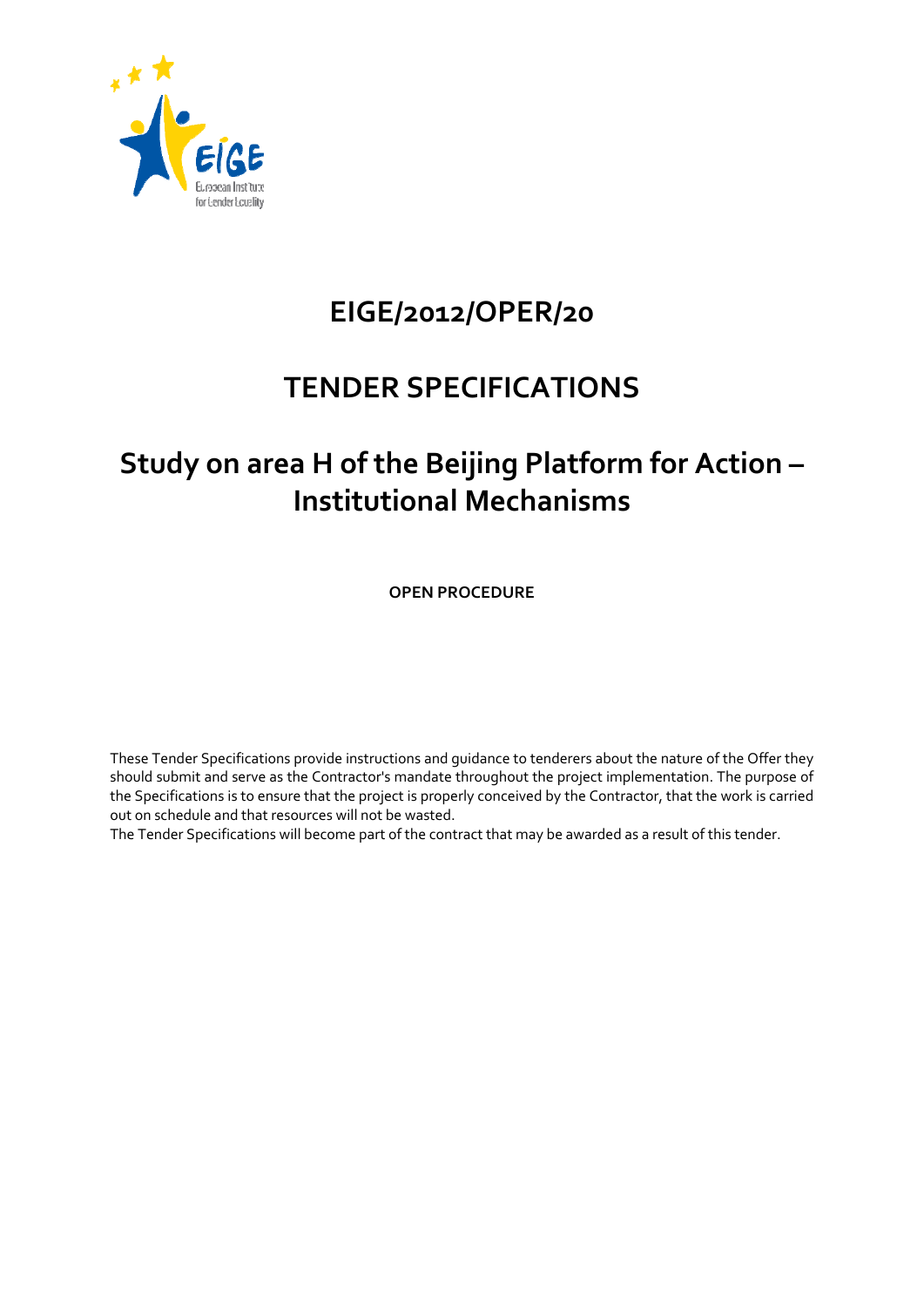

# **EIGE/2012/OPER/20**

# **TENDER SPECIFICATIONS**

# **Study on area H of the Beijing Platform for Action – Institutional Mechanisms**

**OPEN PROCEDURE** 

These Tender Specifications provide instructions and guidance to tenderers about the nature of the Offer they should submit and serve as the Contractor's mandate throughout the project implementation. The purpose of the Specifications is to ensure that the project is properly conceived by the Contractor, that the work is carried out on schedule and that resources will not be wasted.

The Tender Specifications will become part of the contract that may be awarded as a result of this tender.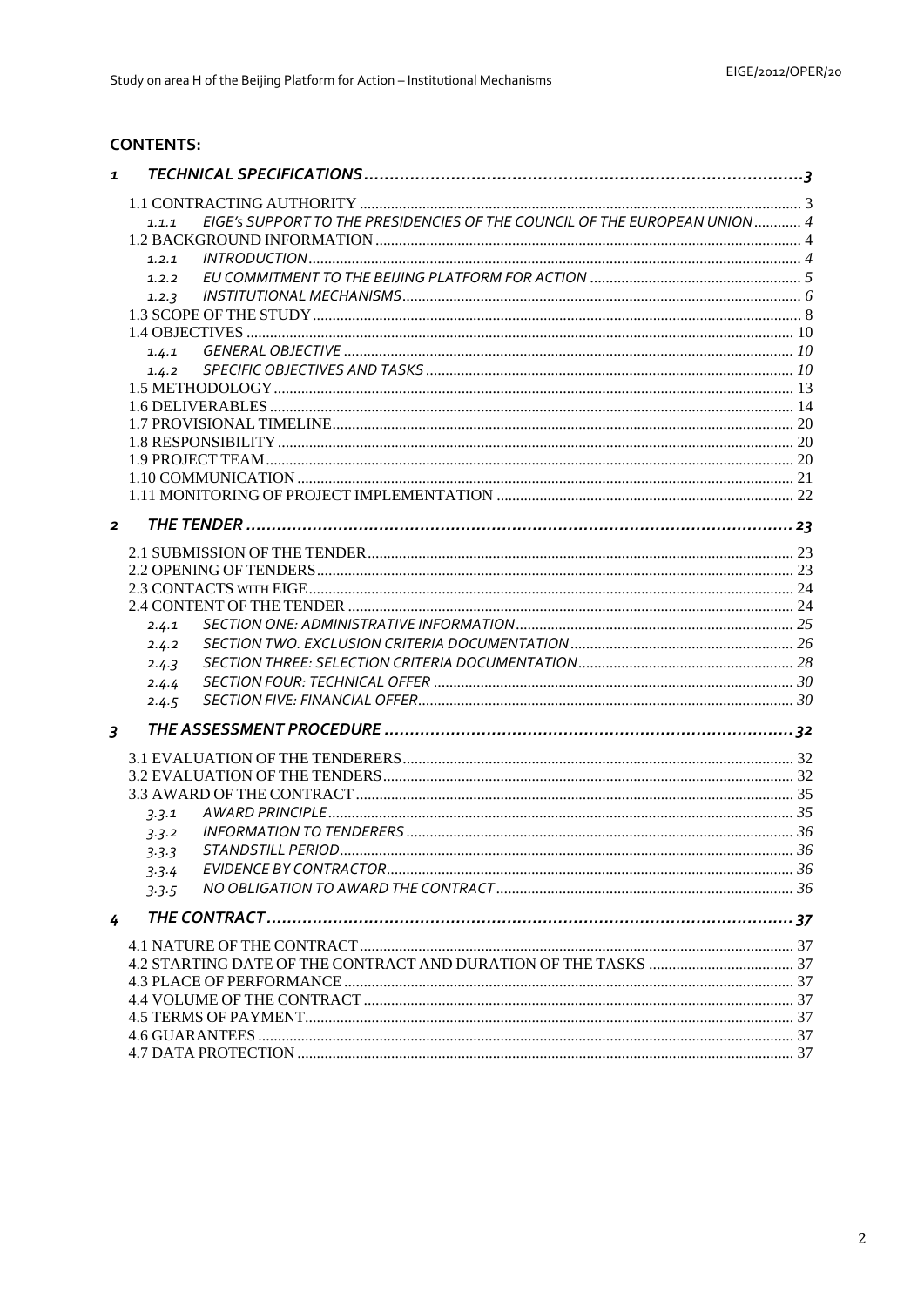# **CONTENTS:**

| $\mathbf{1}$   |                                                                                    |  |
|----------------|------------------------------------------------------------------------------------|--|
|                |                                                                                    |  |
|                | EIGE's SUPPORT TO THE PRESIDENCIES OF THE COUNCIL OF THE EUROPEAN UNION 4<br>1.1.1 |  |
|                |                                                                                    |  |
|                | 1.2.1                                                                              |  |
|                | 1.2.2                                                                              |  |
|                | 1.2.3                                                                              |  |
|                |                                                                                    |  |
|                |                                                                                    |  |
|                | 1.4.1                                                                              |  |
|                | 1.4.2                                                                              |  |
|                |                                                                                    |  |
|                |                                                                                    |  |
|                |                                                                                    |  |
|                |                                                                                    |  |
|                |                                                                                    |  |
|                |                                                                                    |  |
|                |                                                                                    |  |
|                |                                                                                    |  |
| $\overline{2}$ |                                                                                    |  |
|                |                                                                                    |  |
|                |                                                                                    |  |
|                |                                                                                    |  |
|                |                                                                                    |  |
|                | 2.4.1                                                                              |  |
|                | 2.4.2                                                                              |  |
|                | 2.4.3                                                                              |  |
|                | 2.4.4                                                                              |  |
|                | 2.4.5                                                                              |  |
| $\overline{3}$ |                                                                                    |  |
|                |                                                                                    |  |
|                |                                                                                    |  |
|                |                                                                                    |  |
|                |                                                                                    |  |
|                | 3.3.1                                                                              |  |
|                | 3.3.2                                                                              |  |
|                | 3.3.3                                                                              |  |
|                | 3.3.4                                                                              |  |
|                | 3.3.5                                                                              |  |
| 4              |                                                                                    |  |
|                |                                                                                    |  |
|                |                                                                                    |  |
|                |                                                                                    |  |
|                |                                                                                    |  |
|                |                                                                                    |  |
|                |                                                                                    |  |
|                |                                                                                    |  |
|                |                                                                                    |  |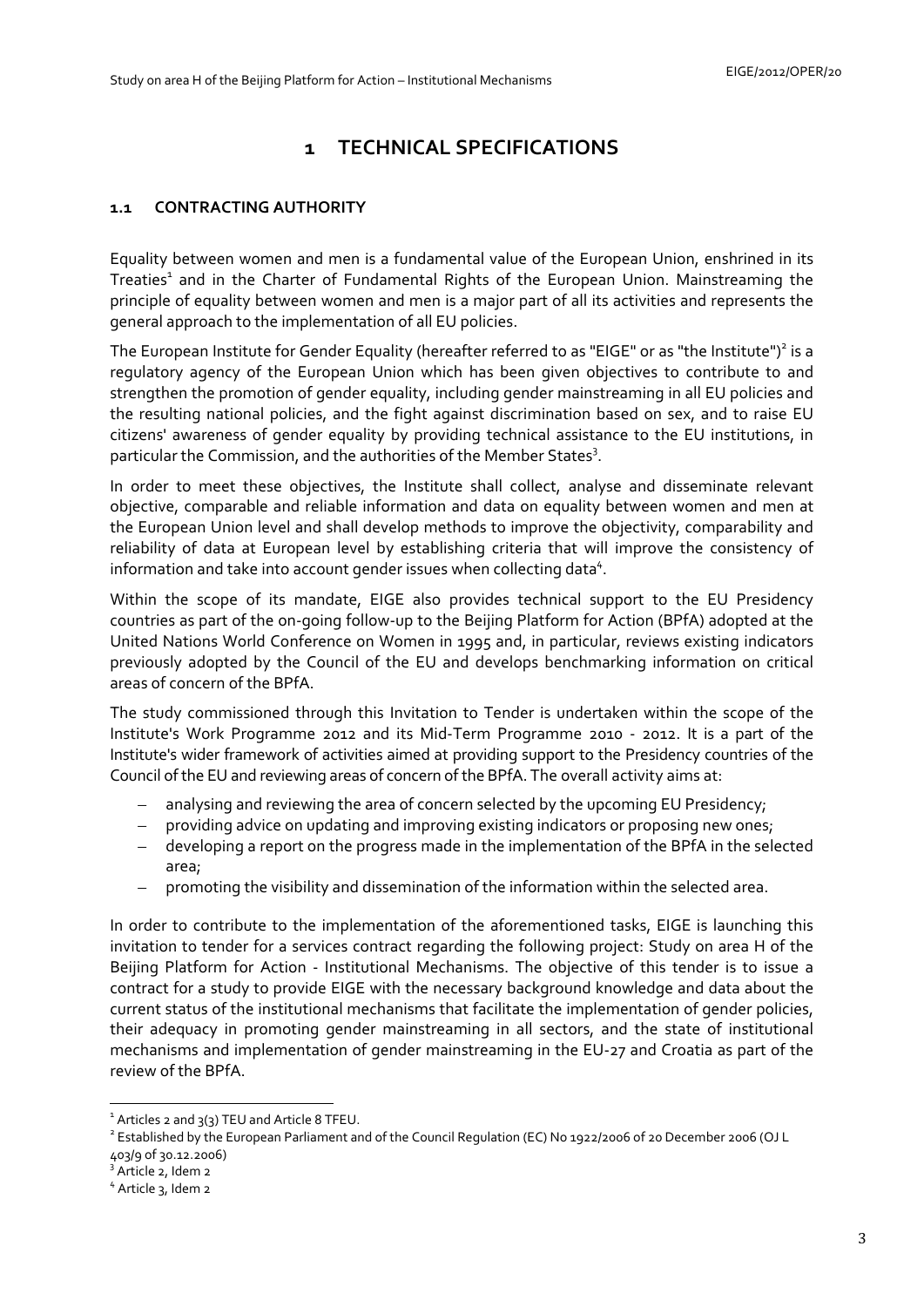# **1 TECHNICAL SPECIFICATIONS**

# <span id="page-2-1"></span><span id="page-2-0"></span>**1.1 CONTRACTING AUTHORITY**

Equality between women and men is a fundamental value of the European Union, enshrined in its Treaties<sup>1</sup> and in the Charter of Fundamental Rights of the European Union. Mainstreaming the principle of equality between women and men is a major part of all its activities and represents the general approach to the implementation of all EU policies.

The European Institute for Gender Equality (hereafter referred to as "EIGE" or as "the Institute")<sup>2</sup> is a regulatory agency of the European Union which has been given objectives to contribute to and strengthen the promotion of gender equality, including gender mainstreaming in all EU policies and the resulting national policies, and the fight against discrimination based on sex, and to raise EU citizens' awareness of gender equality by providing technical assistance to the EU institutions, in particular the Commission, and the authorities of the Member States<sup>3</sup>.

In order to meet these objectives, the Institute shall collect, analyse and disseminate relevant objective, comparable and reliable information and data on equality between women and men at the European Union level and shall develop methods to improve the objectivity, comparability and reliability of data at European level by establishing criteria that will improve the consistency of information and take into account gender issues when collecting data<sup>4</sup>.

Within the scope of its mandate, EIGE also provides technical support to the EU Presidency countries as part of the on-going follow-up to the Beijing Platform for Action (BPfA) adopted at the United Nations World Conference on Women in 1995 and, in particular, reviews existing indicators previously adopted by the Council of the EU and develops benchmarking information on critical areas of concern of the BPfA.

The study commissioned through this Invitation to Tender is undertaken within the scope of the Institute's Work Programme 2012 and its Mid-Term Programme 2010 - 2012. It is a part of the Institute's wider framework of activities aimed at providing support to the Presidency countries of the Council of the EU and reviewing areas of concern of the BPfA. The overall activity aims at:

- analysing and reviewing the area of concern selected by the upcoming EU Presidency;
- providing advice on updating and improving existing indicators or proposing new ones;
- developing a report on the progress made in the implementation of the BPfA in the selected area;
- promoting the visibility and dissemination of the information within the selected area.

In order to contribute to the implementation of the aforementioned tasks, EIGE is launching this invitation to tender for a services contract regarding the following project: Study on area H of the Beijing Platform for Action - Institutional Mechanisms. The objective of this tender is to issue a contract for a study to provide EIGE with the necessary background knowledge and data about the current status of the institutional mechanisms that facilitate the implementation of gender policies, their adequacy in promoting gender mainstreaming in all sectors, and the state of institutional mechanisms and implementation of gender mainstreaming in the EU-27 and Croatia as part of the review of the BPfA.

<u>.</u>

 $1$  Articles 2 and  $3(3)$  TEU and Article 8 TFEU.

<sup>&</sup>lt;sup>2</sup> Established by the European Parliament and of the Council Regulation (EC) No 1922/2006 of 20 December 2006 (OJ L 403/9 of 30.12.2006)

<sup>&</sup>lt;sup>3</sup> Article 2, Idem 2

<sup>4</sup> Article 3, Idem 2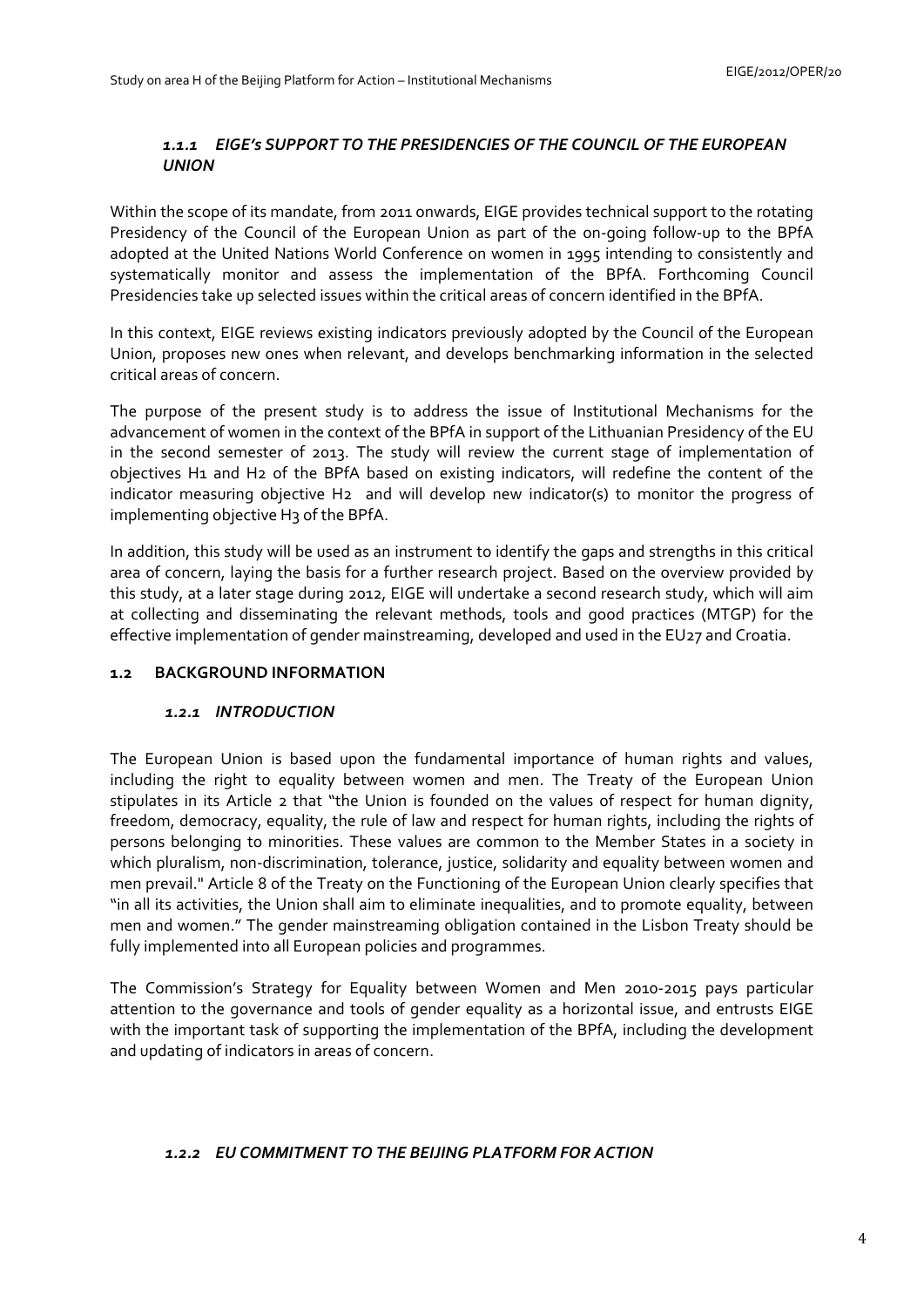# *1.1.1 EIGE's SUPPORT TO THE PRESIDENCIES OF THE COUNCIL OF THE EUROPEAN UNION*

<span id="page-3-0"></span>Within the scope of its mandate, from 2011 onwards, EIGE provides technical support to the rotating Presidency of the Council of the European Union as part of the on-going follow-up to the BPfA adopted at the United Nations World Conference on women in 1995 intending to consistently and systematically monitor and assess the implementation of the BPfA. Forthcoming Council Presidencies take up selected issues within the critical areas of concern identified in the BPfA.

In this context, EIGE reviews existing indicators previously adopted by the Council of the European Union, proposes new ones when relevant, and develops benchmarking information in the selected critical areas of concern.

The purpose of the present study is to address the issue of Institutional Mechanisms for the advancement of women in the context of the BPfA in support of the Lithuanian Presidency of the EU in the second semester of 2013. The study will review the current stage of implementation of objectives H1 and H2 of the BPfA based on existing indicators, will redefine the content of the indicator measuring objective H2 and will develop new indicator(s) to monitor the progress of implementing objective H3 of the BPfA.

In addition, this study will be used as an instrument to identify the gaps and strengths in this critical area of concern, laying the basis for a further research project. Based on the overview provided by this study, at a later stage during 2012, EIGE will undertake a second research study, which will aim at collecting and disseminating the relevant methods, tools and good practices (MTGP) for the effective implementation of gender mainstreaming, developed and used in the EU27 and Croatia.

# <span id="page-3-2"></span><span id="page-3-1"></span>**1.2 BACKGROUND INFORMATION**

### *1.2.1 INTRODUCTION*

The European Union is based upon the fundamental importance of human rights and values, including the right to equality between women and men. The Treaty of the European Union stipulates in its Article 2 that "the Union is founded on the values of respect for human dignity, freedom, democracy, equality, the rule of law and respect for human rights, including the rights of persons belonging to minorities. These values are common to the Member States in a society in which pluralism, non-discrimination, tolerance, justice, solidarity and equality between women and men prevail." Article 8 of the Treaty on the Functioning of the European Union clearly specifies that "in all its activities, the Union shall aim to eliminate inequalities, and to promote equality, between men and women." The gender mainstreaming obligation contained in the Lisbon Treaty should be fully implemented into all European policies and programmes.

The Commission's Strategy for Equality between Women and Men 2010-2015 pays particular attention to the governance and tools of gender equality as a horizontal issue, and entrusts EIGE with the important task of supporting the implementation of the BPfA, including the development and updating of indicators in areas of concern.

### <span id="page-3-3"></span>*1.2.2 EU COMMITMENT TO THE BEIJING PLATFORM FOR ACTION*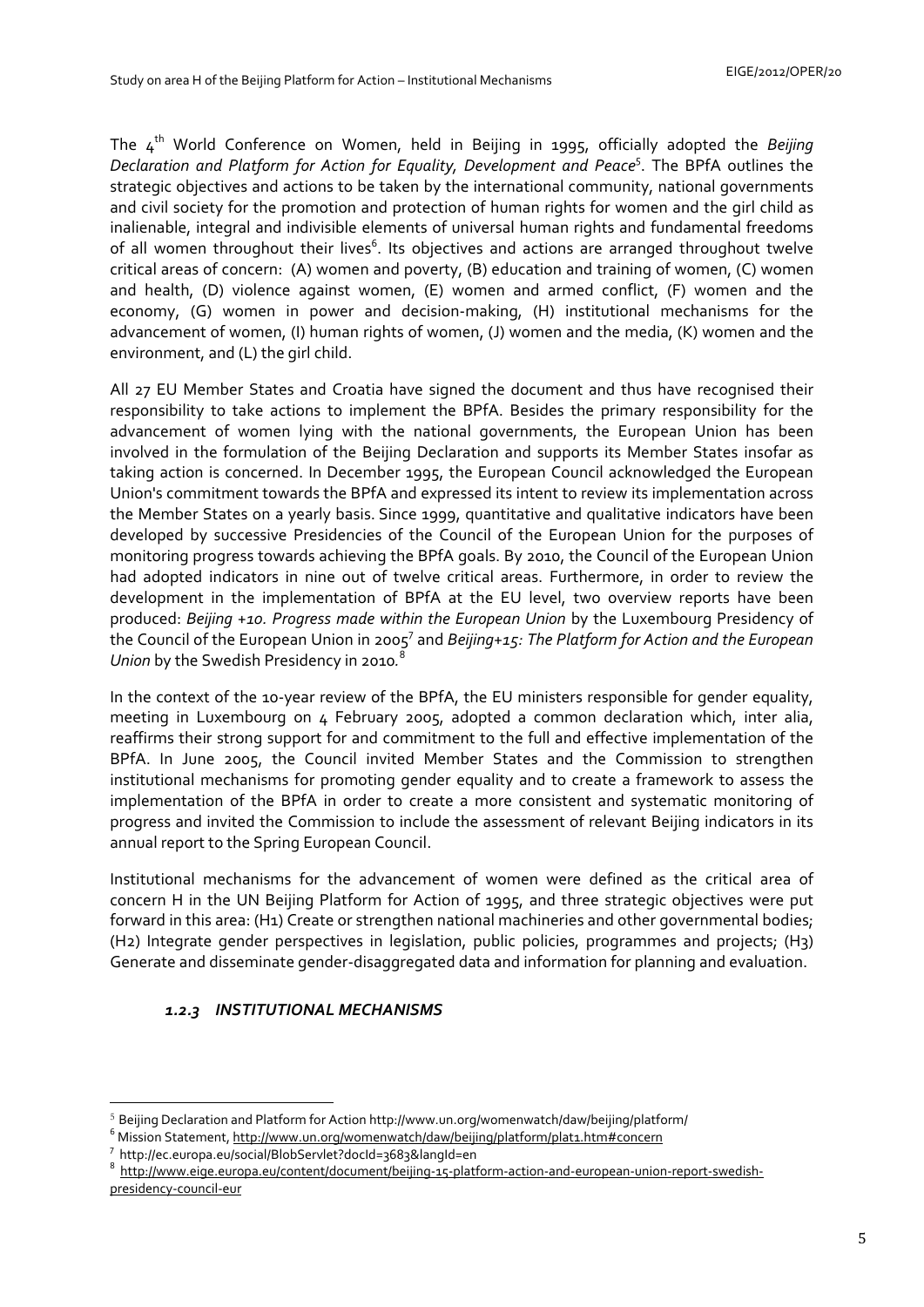The 4th World Conference on Women, held in Beijing in 1995, officially adopted the *Beijing Declaration and Platform for Action for Equality, Development and Peace*<sup>5</sup> . The BPfA outlines the strategic objectives and actions to be taken by the international community, national governments and civil society for the promotion and protection of human rights for women and the girl child as inalienable, integral and indivisible elements of universal human rights and fundamental freedoms of all women throughout their lives<sup>6</sup>. Its objectives and actions are arranged throughout twelve critical areas of concern: (A) women and poverty, (B) education and training of women, (C) women and health, (D) violence against women, (E) women and armed conflict, (F) women and the economy, (G) women in power and decision-making, (H) institutional mechanisms for the advancement of women, (I) human rights of women, (J) women and the media, (K) women and the environment, and (L) the girl child.

All 27 EU Member States and Croatia have signed the document and thus have recognised their responsibility to take actions to implement the BPfA. Besides the primary responsibility for the advancement of women lying with the national governments, the European Union has been involved in the formulation of the Beijing Declaration and supports its Member States insofar as taking action is concerned. In December 1995, the European Council acknowledged the European Union's commitment towards the BPfA and expressed its intent to review its implementation across the Member States on a yearly basis. Since 1999, quantitative and qualitative indicators have been developed by successive Presidencies of the Council of the European Union for the purposes of monitoring progress towards achieving the BPfA goals. By 2010, the Council of the European Union had adopted indicators in nine out of twelve critical areas. Furthermore, in order to review the development in the implementation of BPfA at the EU level, two overview reports have been produced: *Beijing +10. Progress made within the European Union* by the Luxembourg Presidency of the Council of the European Union in 2005<sup>7</sup> and Beijing+15: The Platform for Action and the European *Union* by the Swedish Presidency in 2010*.* 8 

In the context of the 10-year review of the BPfA, the EU ministers responsible for gender equality, meeting in Luxembourg on 4 February 2005, adopted a common declaration which, inter alia, reaffirms their strong support for and commitment to the full and effective implementation of the BPfA. In June 2005, the Council invited Member States and the Commission to strengthen institutional mechanisms for promoting gender equality and to create a framework to assess the implementation of the BPfA in order to create a more consistent and systematic monitoring of progress and invited the Commission to include the assessment of relevant Beijing indicators in its annual report to the Spring European Council.

Institutional mechanisms for the advancement of women were defined as the critical area of concern H in the UN Beijing Platform for Action of 1995, and three strategic objectives were put forward in this area: (H1) Create or strengthen national machineries and other governmental bodies; (H2) Integrate gender perspectives in legislation, public policies, programmes and projects; (H3) Generate and disseminate gender-disaggregated data and information for planning and evaluation.

# <span id="page-4-0"></span>*1.2.3 INSTITUTIONAL MECHANISMS*

<u>.</u>

<sup>8</sup> [http://www.eige.europa.eu/content/document/beijing-15-platform-action-and-european-union-report-swedish](http://www.eige.europa.eu/content/document/beijing-15-platform-action-and-european-union-report-swedish-presidency-council-eur)[presidency-council-eur](http://www.eige.europa.eu/content/document/beijing-15-platform-action-and-european-union-report-swedish-presidency-council-eur) 

<sup>5</sup> Beijing Declaration and Platform for Action http://www.un.org/womenwatch/daw/beijing/platform/ 6

<sup>6</sup> Mission Statement, http://www.un.org/womenwatch/daw/beijing/platform/plat1.htm#concern

http://ec.europa.eu/social/BlobServlet?docId=3683&langId=en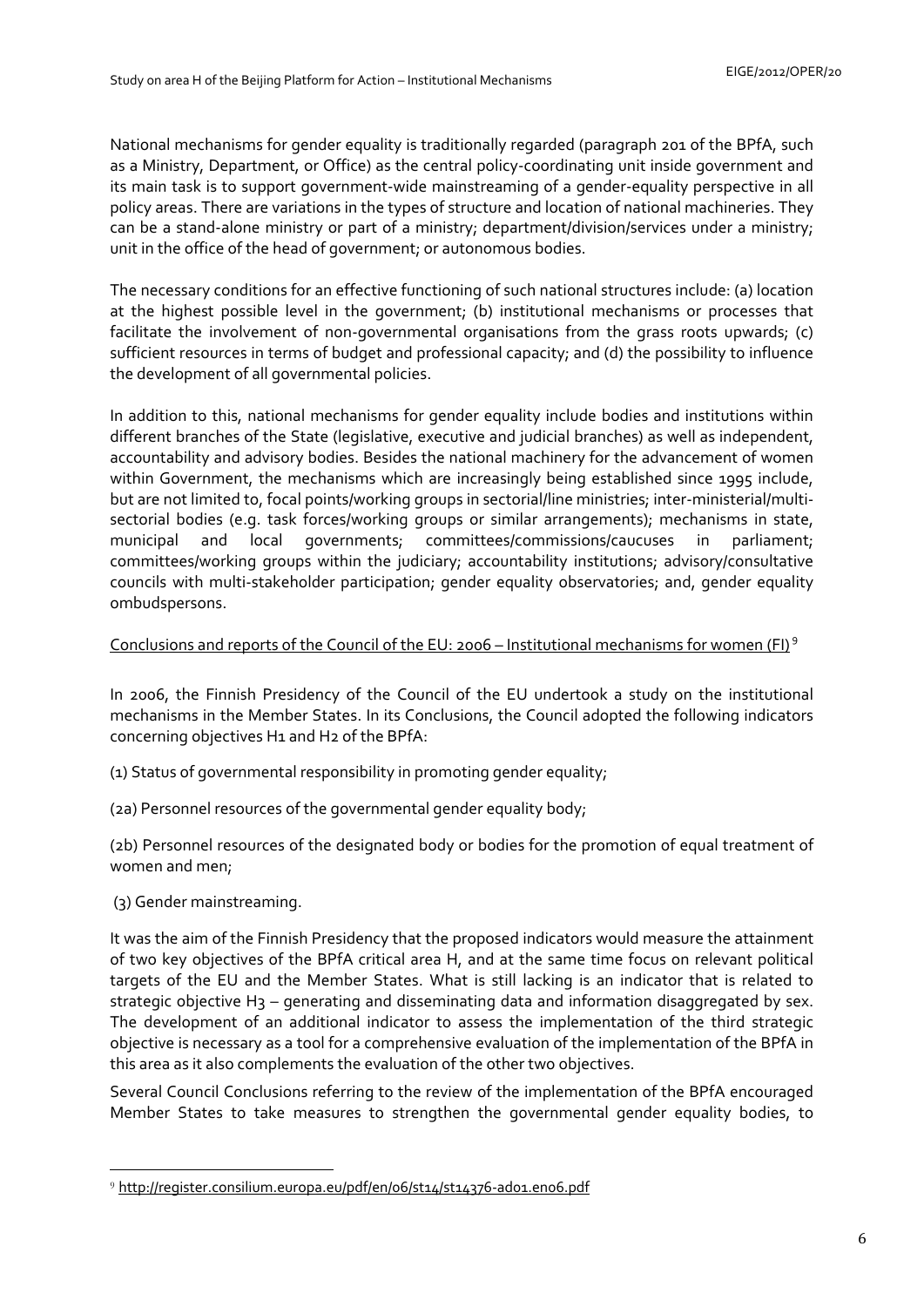National mechanisms for gender equality is traditionally regarded (paragraph 201 of the BPfA, such as a Ministry, Department, or Office) as the central policy-coordinating unit inside government and its main task is to support government-wide mainstreaming of a gender-equality perspective in all policy areas. There are variations in the types of structure and location of national machineries. They can be a stand-alone ministry or part of a ministry; department/division/services under a ministry; unit in the office of the head of government; or autonomous bodies.

The necessary conditions for an effective functioning of such national structures include: (a) location at the highest possible level in the government; (b) institutional mechanisms or processes that facilitate the involvement of non-governmental organisations from the grass roots upwards; (c) sufficient resources in terms of budget and professional capacity; and (d) the possibility to influence the development of all governmental policies.

In addition to this, national mechanisms for gender equality include bodies and institutions within different branches of the State (legislative, executive and judicial branches) as well as independent, accountability and advisory bodies. Besides the national machinery for the advancement of women within Government, the mechanisms which are increasingly being established since 1995 include, but are not limited to, focal points/working groups in sectorial/line ministries; inter-ministerial/multisectorial bodies (e.g. task forces/working groups or similar arrangements); mechanisms in state, municipal and local governments; committees/commissions/caucuses in parliament; committees/working groups within the judiciary; accountability institutions; advisory/consultative councils with multi-stakeholder participation; gender equality observatories; and, gender equality ombudspersons.

# Conclusions and reports of the Council of the EU: 2006 – Institutional mechanisms for women (FI)<sup>9</sup>

In 2006, the Finnish Presidency of the Council of the EU undertook a study on the institutional mechanisms in the Member States. In its Conclusions, the Council adopted the following indicators concerning objectives H1 and H2 of the BPfA:

(1) Status of governmental responsibility in promoting gender equality;

(2a) Personnel resources of the governmental gender equality body;

(2b) Personnel resources of the designated body or bodies for the promotion of equal treatment of women and men;

(3) Gender mainstreaming.

<u>.</u>

It was the aim of the Finnish Presidency that the proposed indicators would measure the attainment of two key objectives of the BPfA critical area H, and at the same time focus on relevant political targets of the EU and the Member States. What is still lacking is an indicator that is related to strategic objective H<sub>3</sub> – generating and disseminating data and information disaggregated by sex. The development of an additional indicator to assess the implementation of the third strategic objective is necessary as a tool for a comprehensive evaluation of the implementation of the BPfA in this area as it also complements the evaluation of the other two objectives.

Several Council Conclusions referring to the review of the implementation of the BPfA encouraged Member States to take measures to strengthen the governmental gender equality bodies, to

<sup>9</sup> <http://register.consilium.europa.eu/pdf/en/06/st14/st14376-ad01.en06.pdf>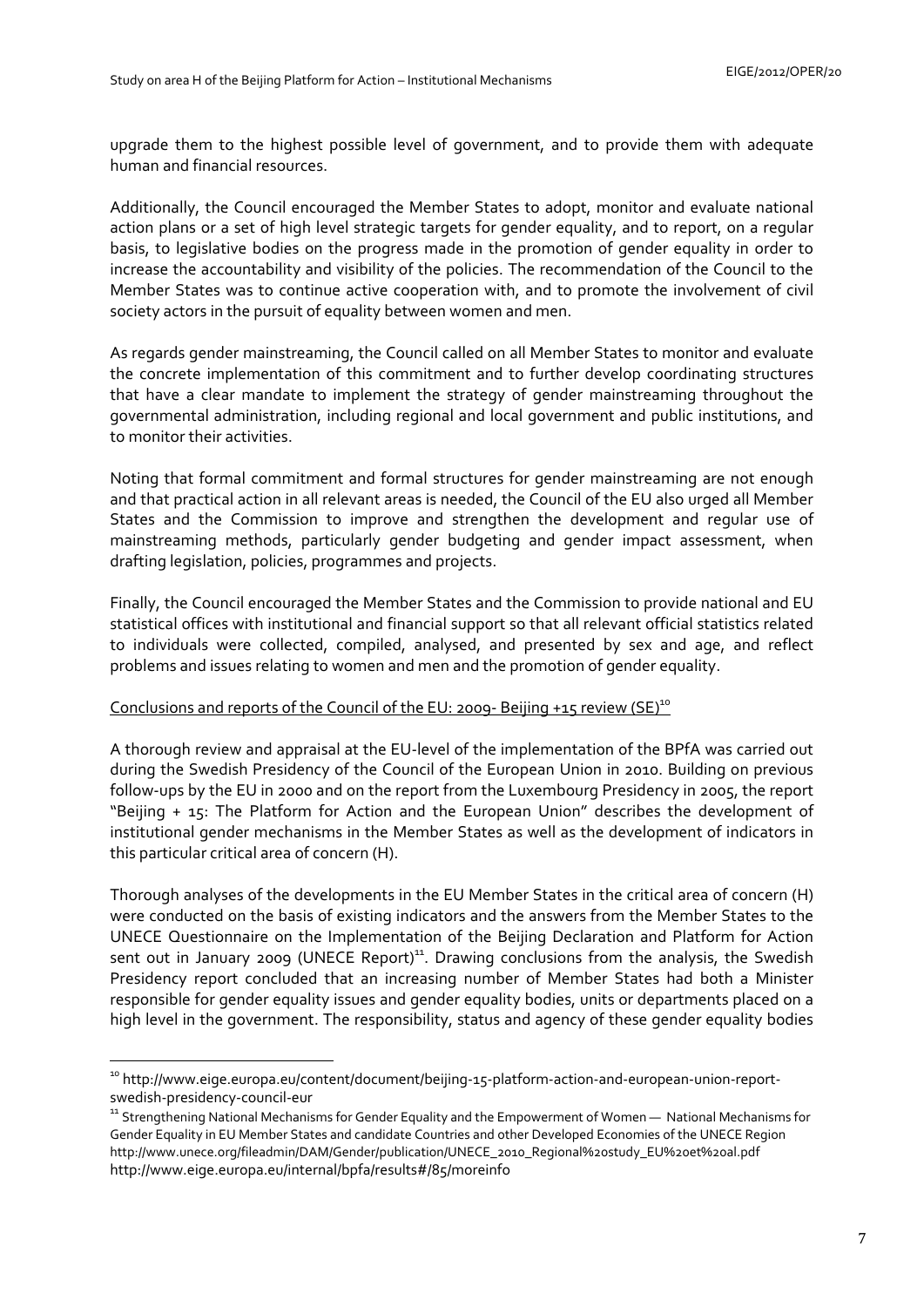upgrade them to the highest possible level of government, and to provide them with adequate human and financial resources.

Additionally, the Council encouraged the Member States to adopt, monitor and evaluate national action plans or a set of high level strategic targets for gender equality, and to report, on a regular basis, to legislative bodies on the progress made in the promotion of gender equality in order to increase the accountability and visibility of the policies. The recommendation of the Council to the Member States was to continue active cooperation with, and to promote the involvement of civil society actors in the pursuit of equality between women and men.

As regards gender mainstreaming, the Council called on all Member States to monitor and evaluate the concrete implementation of this commitment and to further develop coordinating structures that have a clear mandate to implement the strategy of gender mainstreaming throughout the governmental administration, including regional and local government and public institutions, and to monitor their activities.

Noting that formal commitment and formal structures for gender mainstreaming are not enough and that practical action in all relevant areas is needed, the Council of the EU also urged all Member States and the Commission to improve and strengthen the development and regular use of mainstreaming methods, particularly gender budgeting and gender impact assessment, when drafting legislation, policies, programmes and projects.

Finally, the Council encouraged the Member States and the Commission to provide national and EU statistical offices with institutional and financial support so that all relevant official statistics related to individuals were collected, compiled, analysed, and presented by sex and age, and reflect problems and issues relating to women and men and the promotion of gender equality.

### Conclusions and reports of the Council of the EU: 2009- Beijing +15 review (SE)<sup>10</sup>

A thorough review and appraisal at the EU-level of the implementation of the BPfA was carried out during the Swedish Presidency of the Council of the European Union in 2010. Building on previous follow-ups by the EU in 2000 and on the report from the Luxembourg Presidency in 2005, the report "Beijing + 15: The Platform for Action and the European Union" describes the development of institutional gender mechanisms in the Member States as well as the development of indicators in this particular critical area of concern (H).

Thorough analyses of the developments in the EU Member States in the critical area of concern (H) were conducted on the basis of existing indicators and the answers from the Member States to the UNECE Questionnaire on the Implementation of the Beijing Declaration and Platform for Action sent out in January 2009 (UNECE Report)<sup>11</sup>. Drawing conclusions from the analysis, the Swedish Presidency report concluded that an increasing number of Member States had both a Minister responsible for gender equality issues and gender equality bodies, units or departments placed on a high level in the government. The responsibility, status and agency of these gender equality bodies

<u>.</u>

<sup>&</sup>lt;sup>10</sup> http://www.eige.europa.eu/content/document/beijing-15-platform-action-and-european-union-reportswedish-presidency-council-eur

<sup>&</sup>lt;sup>11</sup> Strengthening National Mechanisms for Gender Equality and the Empowerment of Women — National Mechanisms for Gender Equality in EU Member States and candidate Countries and other Developed Economies of the UNECE Region [http://www.unece.org/fileadmin/DAM/Gender/publica](http://www.unece.org/fileadmin/DAM/Gender/publication/UNECE_2010_Regional study_EU et al.pdf)tion/UNECE\_2010\_Regional%20study\_EU%20et%20al.pdf <http://www.eige.europa.eu/internal/bpfa/results#/85/moreinfo>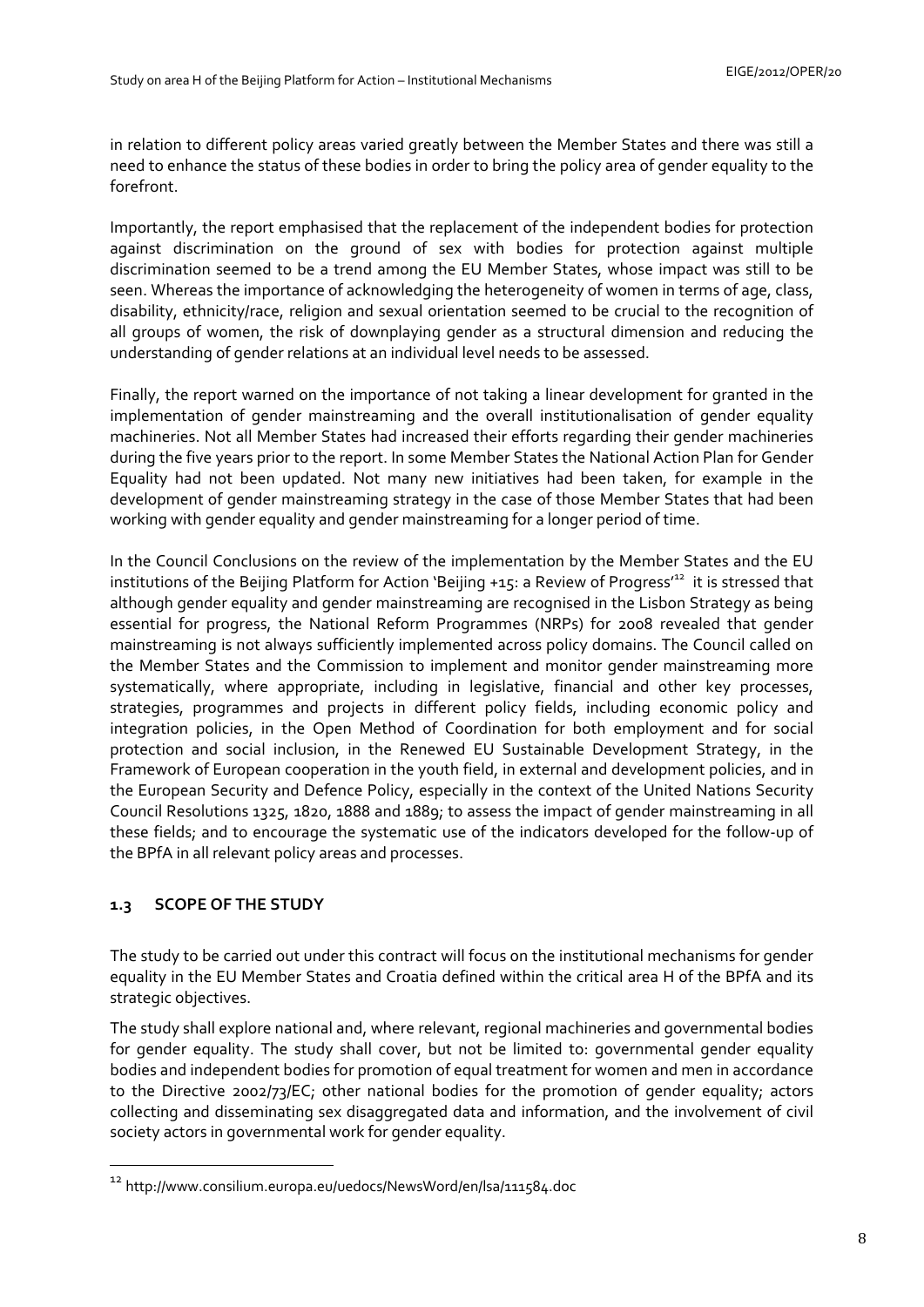in relation to different policy areas varied greatly between the Member States and there was still a need to enhance the status of these bodies in order to bring the policy area of gender equality to the forefront.

Importantly, the report emphasised that the replacement of the independent bodies for protection against discrimination on the ground of sex with bodies for protection against multiple discrimination seemed to be a trend among the EU Member States, whose impact was still to be seen. Whereas the importance of acknowledging the heterogeneity of women in terms of age, class, disability, ethnicity/race, religion and sexual orientation seemed to be crucial to the recognition of all groups of women, the risk of downplaying gender as a structural dimension and reducing the understanding of gender relations at an individual level needs to be assessed.

Finally, the report warned on the importance of not taking a linear development for granted in the implementation of gender mainstreaming and the overall institutionalisation of gender equality machineries. Not all Member States had increased their efforts regarding their gender machineries during the five years prior to the report. In some Member States the National Action Plan for Gender Equality had not been updated. Not many new initiatives had been taken, for example in the development of gender mainstreaming strategy in the case of those Member States that had been working with gender equality and gender mainstreaming for a longer period of time.

In the Council Conclusions on the review of the implementation by the Member States and the EU institutions of the Beijing Platform for Action 'Beijing +15: a Review of Progress<sup>12</sup> it is stressed that although gender equality and gender mainstreaming are recognised in the Lisbon Strategy as being essential for progress, the National Reform Programmes (NRPs) for 2008 revealed that gender mainstreaming is not always sufficiently implemented across policy domains. The Council called on the Member States and the Commission to implement and monitor gender mainstreaming more systematically, where appropriate, including in legislative, financial and other key processes, strategies, programmes and projects in different policy fields, including economic policy and integration policies, in the Open Method of Coordination for both employment and for social protection and social inclusion, in the Renewed EU Sustainable Development Strategy, in the Framework of European cooperation in the youth field, in external and development policies, and in the European Security and Defence Policy, especially in the context of the United Nations Security Council Resolutions 1325, 1820, 1888 and 1889; to assess the impact of gender mainstreaming in all these fields; and to encourage the systematic use of the indicators developed for the follow-up of the BPfA in all relevant policy areas and processes.

# <span id="page-7-0"></span>**1.3 SCOPE OF THE STUDY**

<u>.</u>

The study to be carried out under this contract will focus on the institutional mechanisms for gender equality in the EU Member States and Croatia defined within the critical area H of the BPfA and its strategic objectives.

The study shall explore national and, where relevant, regional machineries and governmental bodies for gender equality. The study shall cover, but not be limited to: governmental gender equality bodies and independent bodies for promotion of equal treatment for women and men in accordance to the Directive 2002/73/EC; other national bodies for the promotion of gender equality; actors collecting and disseminating sex disaggregated data and information, and the involvement of civil society actors in governmental work for gender equality.

<sup>12</sup> http://www.consilium.europa.eu/uedocs/NewsWord/en/lsa/111584.doc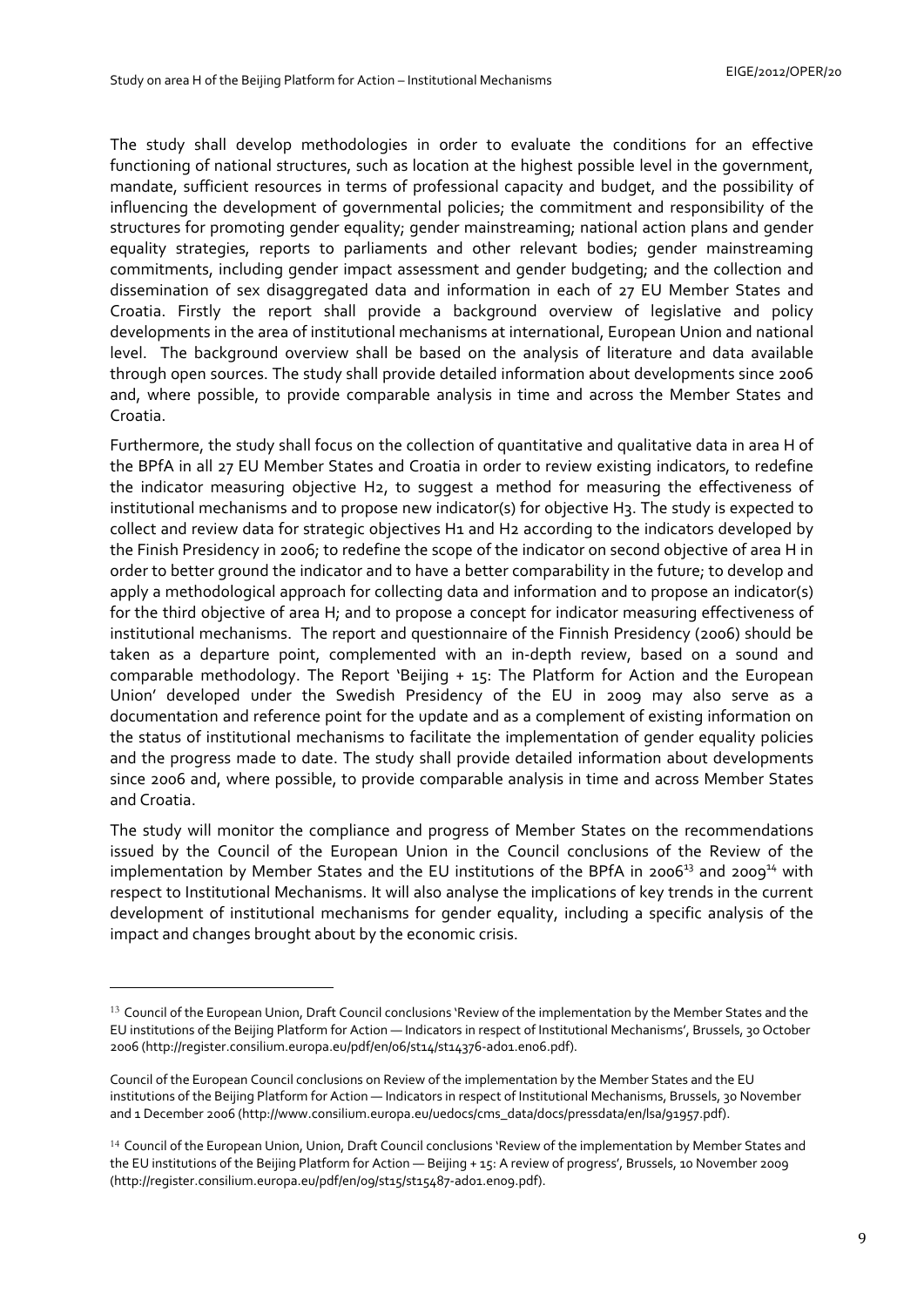The study shall develop methodologies in order to evaluate the conditions for an effective functioning of national structures, such as location at the highest possible level in the government, mandate, sufficient resources in terms of professional capacity and budget, and the possibility of influencing the development of governmental policies; the commitment and responsibility of the structures for promoting gender equality; gender mainstreaming; national action plans and gender equality strategies, reports to parliaments and other relevant bodies; gender mainstreaming commitments, including gender impact assessment and gender budgeting; and the collection and dissemination of sex disaggregated data and information in each of 27 EU Member States and Croatia. Firstly the report shall provide a background overview of legislative and policy developments in the area of institutional mechanisms at international, European Union and national level. The background overview shall be based on the analysis of literature and data available through open sources. The study shall provide detailed information about developments since 2006 and, where possible, to provide comparable analysis in time and across the Member States and Croatia.

Furthermore, the study shall focus on the collection of quantitative and qualitative data in area H of the BPfA in all 27 EU Member States and Croatia in order to review existing indicators, to redefine the indicator measuring objective H2, to suggest a method for measuring the effectiveness of institutional mechanisms and to propose new indicator(s) for objective H3. The study is expected to collect and review data for strategic objectives H1 and H2 according to the indicators developed by the Finish Presidency in 2006; to redefine the scope of the indicator on second objective of area H in order to better ground the indicator and to have a better comparability in the future; to develop and apply a methodological approach for collecting data and information and to propose an indicator(s) for the third objective of area H; and to propose a concept for indicator measuring effectiveness of institutional mechanisms. The report and questionnaire of the Finnish Presidency (2006) should be taken as a departure point, complemented with an in-depth review, based on a sound and comparable methodology. The Report 'Beijing + 15: The Platform for Action and the European Union' developed under the Swedish Presidency of the EU in 2009 may also serve as a documentation and reference point for the update and as a complement of existing information on the status of institutional mechanisms to facilitate the implementation of gender equality policies and the progress made to date. The study shall provide detailed information about developments since 2006 and, where possible, to provide comparable analysis in time and across Member States and Croatia.

The study will monitor the compliance and progress of Member States on the recommendations issued by the Council of the European Union in the Council conclusions of the Review of the implementation by Member States and the EU institutions of the BPfA in 2006<sup>13</sup> and 2009<sup>14</sup> with respect to Institutional Mechanisms. It will also analyse the implications of key trends in the current development of institutional mechanisms for gender equality, including a specific analysis of the impact and changes brought about by the economic crisis.

<u>.</u>

<sup>&</sup>lt;sup>13</sup> Council of the European Union, Draft Council conclusions 'Review of the implementation by the Member States and the EU institutions of the Beijing Platform for Action — Indicators in respect of Institutional Mechanisms', Brussels, 30 October 2006 [\(http://register.consilium.europa.eu/pdf/en/06/st14/st14376-ad01.en06.pdf\).](http://register.consilium.europa.eu/pdf/en/06/st14/st14376-ad01.en06.pdf) 

Council of the European Council conclusions on Review of the implementation by the Member States and the EU institutions of the Beijing Platform for Action — Indicators in respect of Institutional Mechanisms, Brussels, 30 November and 1 December 2006 [\(http://www.consilium.europa.eu/uedocs/cms\\_data/docs/pressdata/en/lsa/91957.pdf\).](http://www.consilium.europa.eu/uedocs/cms_data/docs/pressdata/en/lsa/91957.pdf)

<sup>&</sup>lt;sup>14</sup> Council of the European Union, Union, Draft Council conclusions 'Review of the implementation by Member States and the EU institutions of the Beijing Platform for Action — Beijing + 15: A review of progress', Brussels, 10 November 2009 [\(http://register.consilium.europa.eu/pdf/en/09/st15/st15487-ad01.en09.pdf\).](http://register.consilium.europa.eu/pdf/en/09/st15/st15487-ad01.en09.pdf)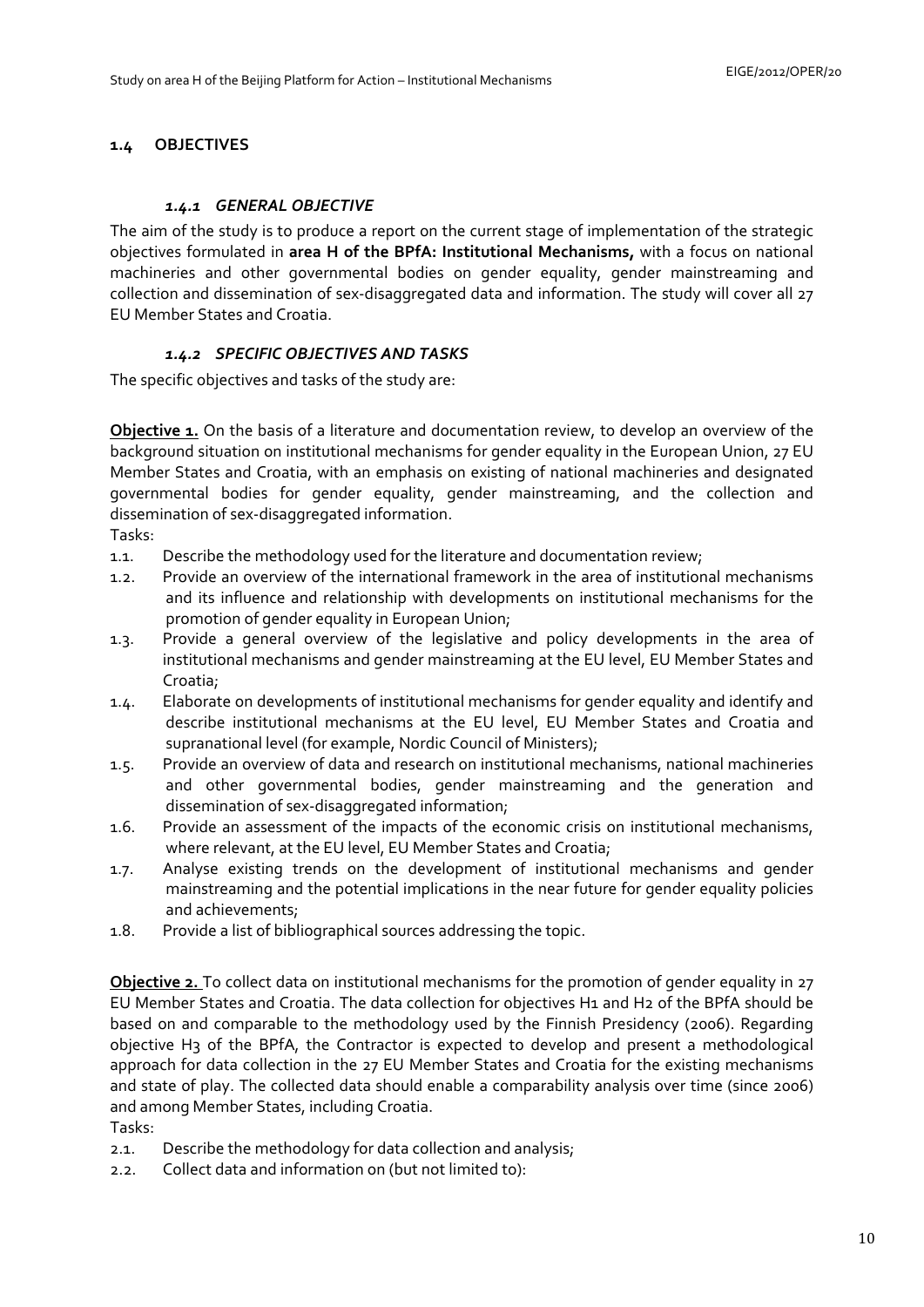# <span id="page-9-1"></span><span id="page-9-0"></span>**1.4 OBJECTIVES**

#### *1.4.1 GENERAL OBJECTIVE*

The aim of the study is to produce a report on the current stage of implementation of the strategic objectives formulated in **area H of the BPfA: Institutional Mechanisms,** with a focus on national machineries and other governmental bodies on gender equality, gender mainstreaming and collection and dissemination of sex-disaggregated data and information. The study will cover all 27 EU Member States and Croatia.

### *1.4.2 SPECIFIC OBJECTIVES AND TASKS*

<span id="page-9-2"></span>The specific objectives and tasks of the study are:

**Objective 1.** On the basis of a literature and documentation review, to develop an overview of the background situation on institutional mechanisms for gender equality in the European Union, 27 EU Member States and Croatia, with an emphasis on existing of national machineries and designated governmental bodies for gender equality, gender mainstreaming, and the collection and dissemination of sex-disaggregated information.

Tasks:

- 1.1. Describe the methodology used for the literature and documentation review;
- 1.2. Provide an overview of the international framework in the area of institutional mechanisms and its influence and relationship with developments on institutional mechanisms for the promotion of gender equality in European Union;
- 1.3. Provide a general overview of the legislative and policy developments in the area of institutional mechanisms and gender mainstreaming at the EU level, EU Member States and Croatia;
- 1.4. Elaborate on developments of institutional mechanisms for gender equality and identify and describe institutional mechanisms at the EU level, EU Member States and Croatia and supranational level (for example, Nordic Council of Ministers);
- 1.5. Provide an overview of data and research on institutional mechanisms, national machineries and other governmental bodies, gender mainstreaming and the generation and dissemination of sex-disaggregated information;
- 1.6. Provide an assessment of the impacts of the economic crisis on institutional mechanisms, where relevant, at the EU level, EU Member States and Croatia;
- 1.7. Analyse existing trends on the development of institutional mechanisms and gender mainstreaming and the potential implications in the near future for gender equality policies and achievements;
- 1.8. Provide a list of bibliographical sources addressing the topic.

**Objective 2.** To collect data on institutional mechanisms for the promotion of gender equality in 27 EU Member States and Croatia. The data collection for objectives H1 and H2 of the BPfA should be based on and comparable to the methodology used by the Finnish Presidency (2006). Regarding objective H3 of the BPfA, the Contractor is expected to develop and present a methodological approach for data collection in the 27 EU Member States and Croatia for the existing mechanisms and state of play. The collected data should enable a comparability analysis over time (since 2006) and among Member States, including Croatia.

Tasks:

- 2.1. Describe the methodology for data collection and analysis;
- 2.2. Collect data and information on (but not limited to):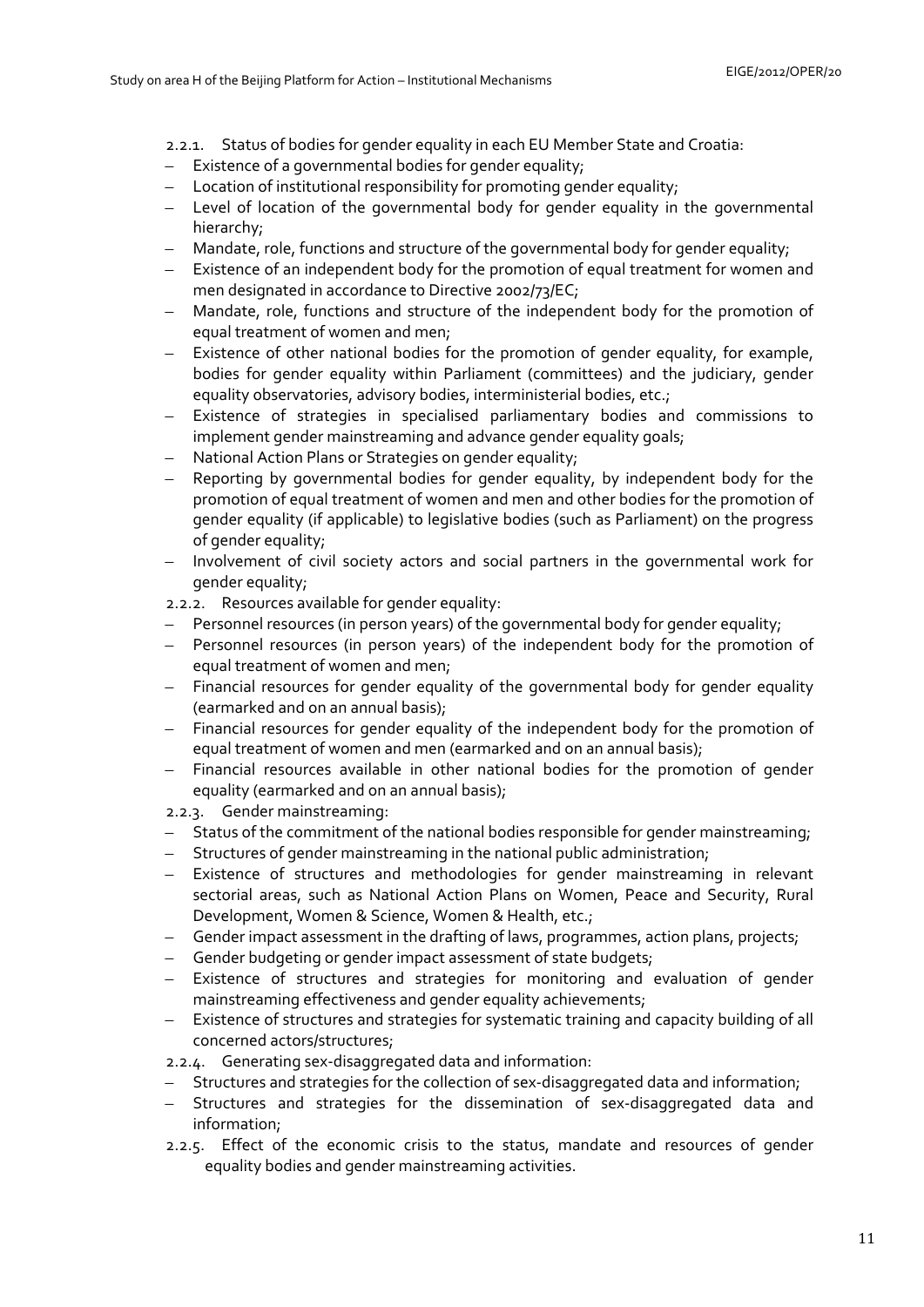- 2.2.1. Status of bodies for gender equality in each EU Member State and Croatia:
- Existence of a governmental bodies for gender equality;
- Location of institutional responsibility for promoting gender equality;
- Level of location of the governmental body for gender equality in the governmental hierarchy;
- Mandate, role, functions and structure of the governmental body for gender equality;
- Existence of an independent body for the promotion of equal treatment for women and men designated in accordance to Directive 2002/73/EC;
- Mandate, role, functions and structure of the independent body for the promotion of equal treatment of women and men;
- Existence of other national bodies for the promotion of gender equality, for example, bodies for gender equality within Parliament (committees) and the judiciary, gender equality observatories, advisory bodies, interministerial bodies, etc.;
- Existence of strategies in specialised parliamentary bodies and commissions to implement gender mainstreaming and advance gender equality goals;
- National Action Plans or Strategies on gender equality;
- Reporting by governmental bodies for gender equality, by independent body for the promotion of equal treatment of women and men and other bodies for the promotion of gender equality (if applicable) to legislative bodies (such as Parliament) on the progress of gender equality;
- Involvement of civil society actors and social partners in the governmental work for gender equality;
- 2.2.2. Resources available for gender equality:
- Personnel resources (in person years) of the governmental body for gender equality;
- Personnel resources (in person years) of the independent body for the promotion of equal treatment of women and men;
- Financial resources for gender equality of the governmental body for gender equality (earmarked and on an annual basis);
- Financial resources for gender equality of the independent body for the promotion of equal treatment of women and men (earmarked and on an annual basis);
- Financial resources available in other national bodies for the promotion of gender equality (earmarked and on an annual basis);
- 2.2.3. Gender mainstreaming:
- Status of the commitment of the national bodies responsible for gender mainstreaming;
- Structures of gender mainstreaming in the national public administration;
- Existence of structures and methodologies for gender mainstreaming in relevant sectorial areas, such as National Action Plans on Women, Peace and Security, Rural Development, Women & Science, Women & Health, etc.;
- Gender impact assessment in the drafting of laws, programmes, action plans, projects;
- Gender budgeting or gender impact assessment of state budgets;
- Existence of structures and strategies for monitoring and evaluation of gender mainstreaming effectiveness and gender equality achievements;
- Existence of structures and strategies for systematic training and capacity building of all concerned actors/structures;
- 2.2.4. Generating sex-disaggregated data and information:
- Structures and strategies for the collection of sex-disaggregated data and information;
- Structures and strategies for the dissemination of sex-disaggregated data and information;
- 2.2.5. Effect of the economic crisis to the status, mandate and resources of gender equality bodies and gender mainstreaming activities.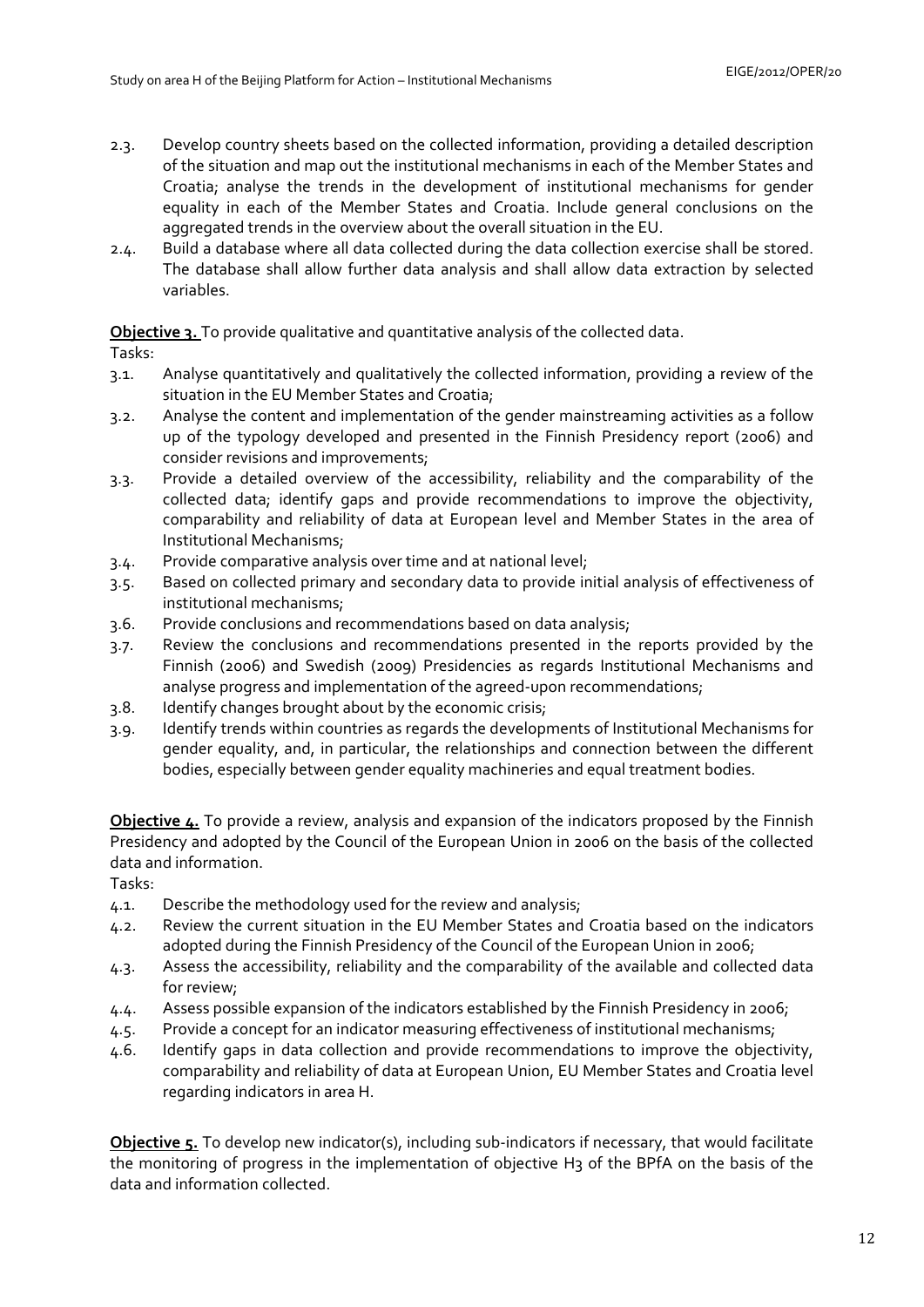- 2.3. Develop country sheets based on the collected information, providing a detailed description of the situation and map out the institutional mechanisms in each of the Member States and Croatia; analyse the trends in the development of institutional mechanisms for gender equality in each of the Member States and Croatia. Include general conclusions on the aggregated trends in the overview about the overall situation in the EU.
- 2.4. Build a database where all data collected during the data collection exercise shall be stored. The database shall allow further data analysis and shall allow data extraction by selected variables.

**Objective 3.** To provide qualitative and quantitative analysis of the collected data.

Tasks:

- 3.1. Analyse quantitatively and qualitatively the collected information, providing a review of the situation in the EU Member States and Croatia;
- 3.2. Analyse the content and implementation of the gender mainstreaming activities as a follow up of the typology developed and presented in the Finnish Presidency report (2006) and consider revisions and improvements;
- 3.3. Provide a detailed overview of the accessibility, reliability and the comparability of the collected data; identify gaps and provide recommendations to improve the objectivity, comparability and reliability of data at European level and Member States in the area of Institutional Mechanisms;
- 3.4. Provide comparative analysis over time and at national level;
- 3.5. Based on collected primary and secondary data to provide initial analysis of effectiveness of institutional mechanisms;
- 3.6. Provide conclusions and recommendations based on data analysis;
- 3.7. Review the conclusions and recommendations presented in the reports provided by the Finnish (2006) and Swedish (2009) Presidencies as regards Institutional Mechanisms and analyse progress and implementation of the agreed-upon recommendations;
- 3.8. Identify changes brought about by the economic crisis;
- 3.9. Identify trends within countries as regards the developments of Institutional Mechanisms for gender equality, and, in particular, the relationships and connection between the different bodies, especially between gender equality machineries and equal treatment bodies.

**Objective 4.** To provide a review, analysis and expansion of the indicators proposed by the Finnish Presidency and adopted by the Council of the European Union in 2006 on the basis of the collected data and information.

Tasks:

- 4.1. Describe the methodology used for the review and analysis;
- 4.2. Review the current situation in the EU Member States and Croatia based on the indicators adopted during the Finnish Presidency of the Council of the European Union in 2006;
- 4.3. Assess the accessibility, reliability and the comparability of the available and collected data for review;
- 4.4. Assess possible expansion of the indicators established by the Finnish Presidency in 2006;
- 4.5. Provide a concept for an indicator measuring effectiveness of institutional mechanisms;
- 4.6. Identify gaps in data collection and provide recommendations to improve the objectivity, comparability and reliability of data at European Union, EU Member States and Croatia level regarding indicators in area H.

**Objective 5.** To develop new indicator(s), including sub-indicators if necessary, that would facilitate the monitoring of progress in the implementation of objective H3 of the BPfA on the basis of the data and information collected.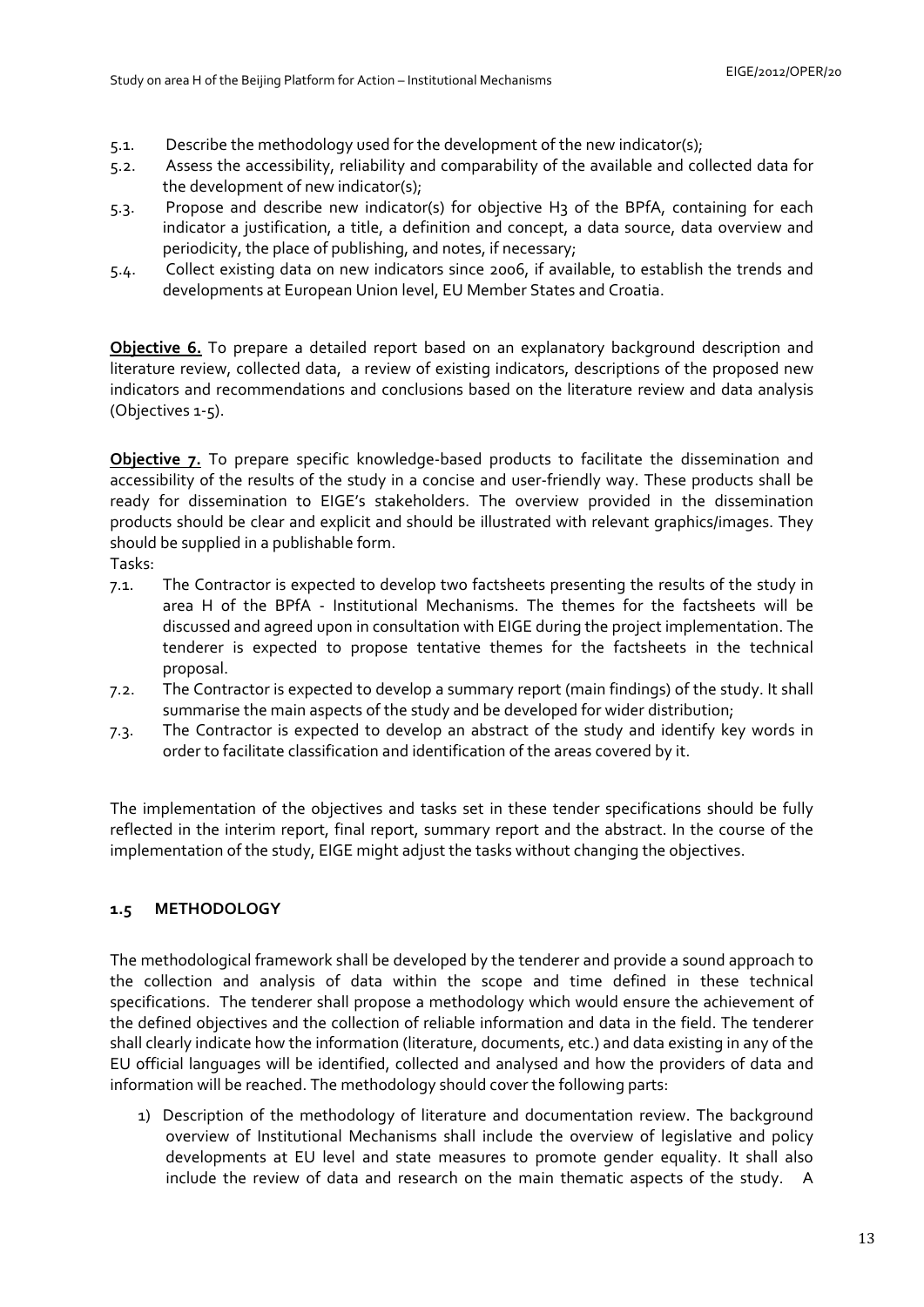- 5.1. Describe the methodology used for the development of the new indicator(s);
- 5.2. Assess the accessibility, reliability and comparability of the available and collected data for the development of new indicator(s);
- 5.3. Propose and describe new indicator(s) for objective H3 of the BPfA, containing for each indicator a justification, a title, a definition and concept, a data source, data overview and periodicity, the place of publishing, and notes, if necessary;
- 5.4. Collect existing data on new indicators since 2006, if available, to establish the trends and developments at European Union level, EU Member States and Croatia.

**Objective 6.** To prepare a detailed report based on an explanatory background description and literature review, collected data, a review of existing indicators, descriptions of the proposed new indicators and recommendations and conclusions based on the literature review and data analysis (Objectives 1-5).

**Objective 7.** To prepare specific knowledge-based products to facilitate the dissemination and accessibility of the results of the study in a concise and user-friendly way. These products shall be ready for dissemination to EIGE's stakeholders. The overview provided in the dissemination products should be clear and explicit and should be illustrated with relevant graphics/images. They should be supplied in a publishable form.

Tasks:

- 7.1. The Contractor is expected to develop two factsheets presenting the results of the study in area H of the BPfA - Institutional Mechanisms. The themes for the factsheets will be discussed and agreed upon in consultation with EIGE during the project implementation. The tenderer is expected to propose tentative themes for the factsheets in the technical proposal.
- 7.2. The Contractor is expected to develop a summary report (main findings) of the study. It shall summarise the main aspects of the study and be developed for wider distribution;
- 7.3. The Contractor is expected to develop an abstract of the study and identify key words in order to facilitate classification and identification of the areas covered by it.

The implementation of the objectives and tasks set in these tender specifications should be fully reflected in the interim report, final report, summary report and the abstract. In the course of the implementation of the study, EIGE might adjust the tasks without changing the objectives.

# <span id="page-12-0"></span>**1.5 METHODOLOGY**

The methodological framework shall be developed by the tenderer and provide a sound approach to the collection and analysis of data within the scope and time defined in these technical specifications. The tenderer shall propose a methodology which would ensure the achievement of the defined objectives and the collection of reliable information and data in the field. The tenderer shall clearly indicate how the information (literature, documents, etc.) and data existing in any of the EU official languages will be identified, collected and analysed and how the providers of data and information will be reached. The methodology should cover the following parts:

1) Description of the methodology of literature and documentation review. The background overview of Institutional Mechanisms shall include the overview of legislative and policy developments at EU level and state measures to promote gender equality. It shall also include the review of data and research on the main thematic aspects of the study. A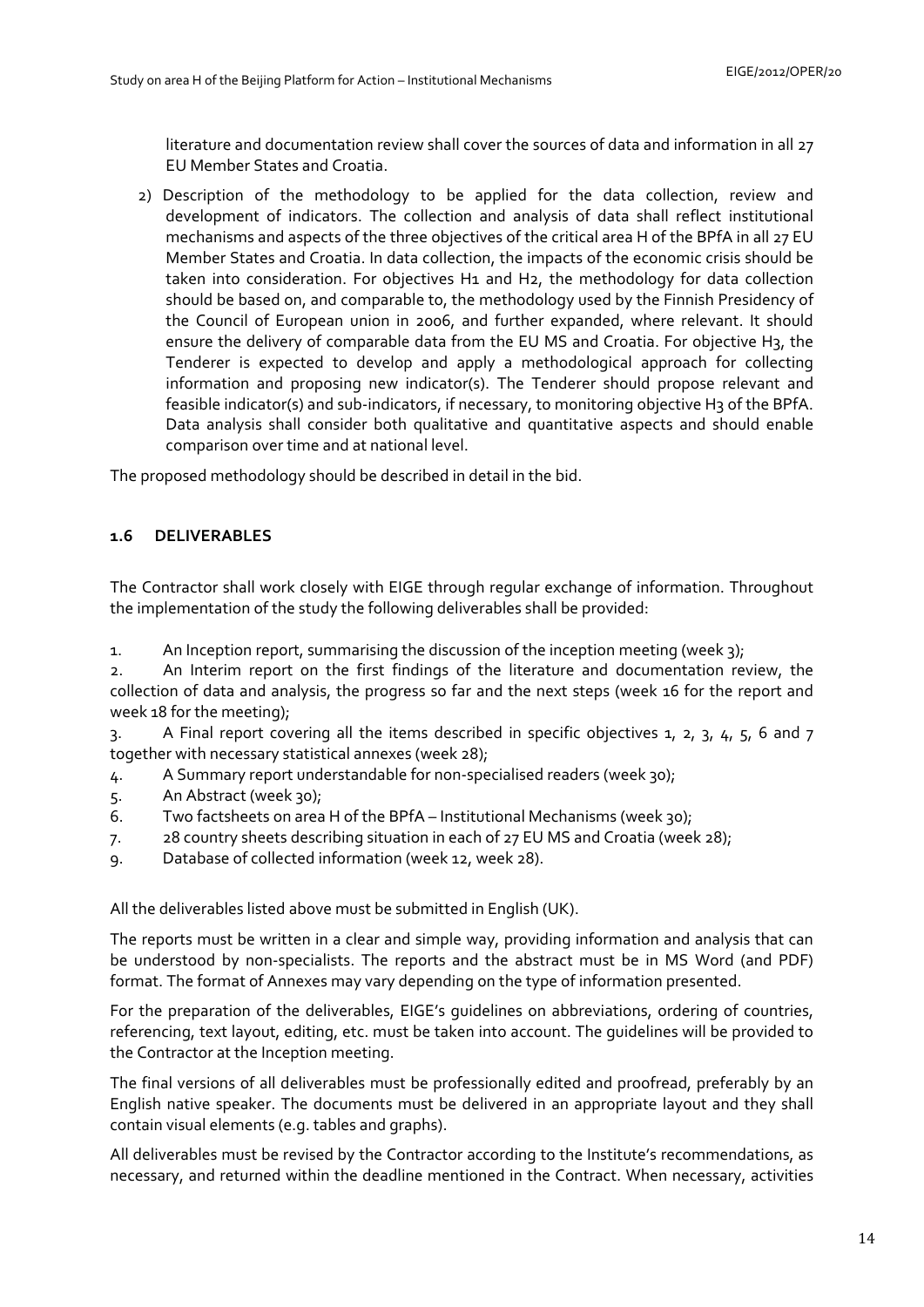literature and documentation review shall cover the sources of data and information in all 27 EU Member States and Croatia.

2) Description of the methodology to be applied for the data collection, review and development of indicators. The collection and analysis of data shall reflect institutional mechanisms and aspects of the three objectives of the critical area H of the BPfA in all 27 EU Member States and Croatia. In data collection, the impacts of the economic crisis should be taken into consideration. For objectives H1 and H2, the methodology for data collection should be based on, and comparable to, the methodology used by the Finnish Presidency of the Council of European union in 2006, and further expanded, where relevant. It should ensure the delivery of comparable data from the EU MS and Croatia. For objective H<sub>3</sub>, the Tenderer is expected to develop and apply a methodological approach for collecting information and proposing new indicator(s). The Tenderer should propose relevant and feasible indicator(s) and sub-indicators, if necessary, to monitoring objective H3 of the BPfA. Data analysis shall consider both qualitative and quantitative aspects and should enable comparison over time and at national level.

The proposed methodology should be described in detail in the bid.

# <span id="page-13-0"></span>**1.6 DELIVERABLES**

The Contractor shall work closely with EIGE through regular exchange of information. Throughout the implementation of the study the following deliverables shall be provided:

1. An Inception report, summarising the discussion of the inception meeting (week 3);

2. An Interim report on the first findings of the literature and documentation review, the collection of data and analysis, the progress so far and the next steps (week 16 for the report and week 18 for the meeting);

3. A Final report covering all the items described in specific objectives 1, 2, 3, 4, 5, 6 and 7 together with necessary statistical annexes (week 28);

- 4. A Summary report understandable for non-specialised readers (week 30);
- 5. An Abstract (week 30);
- 6. Two factsheets on area H of the BPfA Institutional Mechanisms (week 30);
- 7. 28 country sheets describing situation in each of 27 EU MS and Croatia (week 28);
- 9. Database of collected information (week 12, week 28).

All the deliverables listed above must be submitted in English (UK).

The reports must be written in a clear and simple way, providing information and analysis that can be understood by non-specialists. The reports and the abstract must be in MS Word (and PDF) format. The format of Annexes may vary depending on the type of information presented.

For the preparation of the deliverables, EIGE's guidelines on abbreviations, ordering of countries, referencing, text layout, editing, etc. must be taken into account. The guidelines will be provided to the Contractor at the Inception meeting.

The final versions of all deliverables must be professionally edited and proofread, preferably by an English native speaker. The documents must be delivered in an appropriate layout and they shall contain visual elements (e.g. tables and graphs).

All deliverables must be revised by the Contractor according to the Institute's recommendations, as necessary, and returned within the deadline mentioned in the Contract. When necessary, activities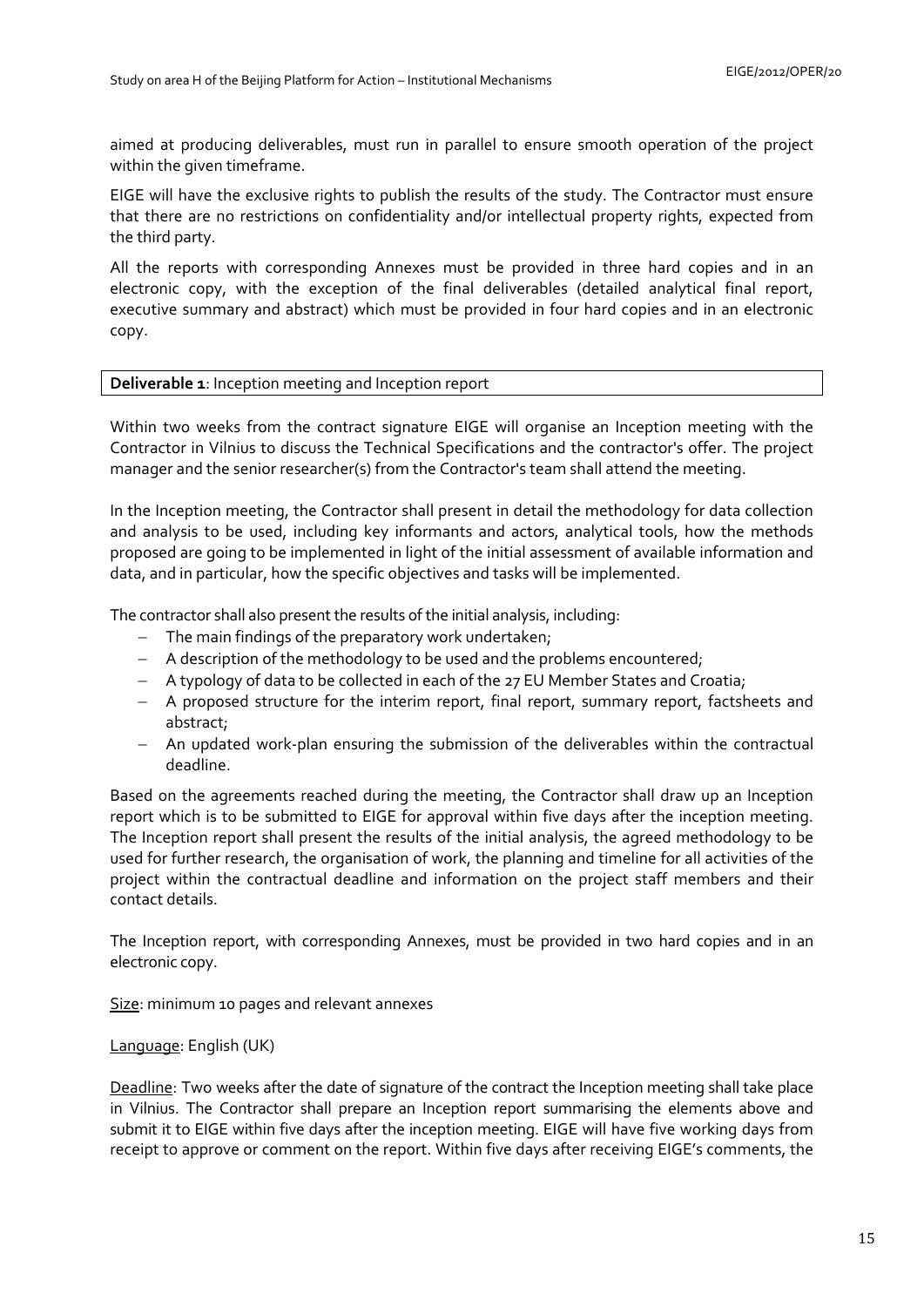aimed at producing deliverables, must run in parallel to ensure smooth operation of the project within the given timeframe.

EIGE will have the exclusive rights to publish the results of the study. The Contractor must ensure that there are no restrictions on confidentiality and/or intellectual property rights, expected from the third party.

All the reports with corresponding Annexes must be provided in three hard copies and in an electronic copy, with the exception of the final deliverables (detailed analytical final report, executive summary and abstract) which must be provided in four hard copies and in an electronic copy.

### **Deliverable 1**: Inception meeting and Inception report

Within two weeks from the contract signature EIGE will organise an Inception meeting with the Contractor in Vilnius to discuss the Technical Specifications and the contractor's offer. The project manager and the senior researcher(s) from the Contractor's team shall attend the meeting.

In the Inception meeting, the Contractor shall present in detail the methodology for data collection and analysis to be used, including key informants and actors, analytical tools, how the methods proposed are going to be implemented in light of the initial assessment of available information and data, and in particular, how the specific objectives and tasks will be implemented.

The contractor shall also present the results of the initial analysis, including:

- − The main findings of the preparatory work undertaken;
- − A description of the methodology to be used and the problems encountered;
- − A typology of data to be collected in each of the 27 EU Member States and Croatia;
- − A proposed structure for the interim report, final report, summary report, factsheets and abstract;
- − An updated work-plan ensuring the submission of the deliverables within the contractual deadline.

Based on the agreements reached during the meeting, the Contractor shall draw up an Inception report which is to be submitted to EIGE for approval within five days after the inception meeting. The Inception report shall present the results of the initial analysis, the agreed methodology to be used for further research, the organisation of work, the planning and timeline for all activities of the project within the contractual deadline and information on the project staff members and their contact details.

The Inception report, with corresponding Annexes, must be provided in two hard copies and in an electronic copy.

Size: minimum 10 pages and relevant annexes

### Language: English (UK)

Deadline: Two weeks after the date of signature of the contract the Inception meeting shall take place in Vilnius. The Contractor shall prepare an Inception report summarising the elements above and submit it to EIGE within five days after the inception meeting. EIGE will have five working days from receipt to approve or comment on the report. Within five days after receiving EIGE's comments, the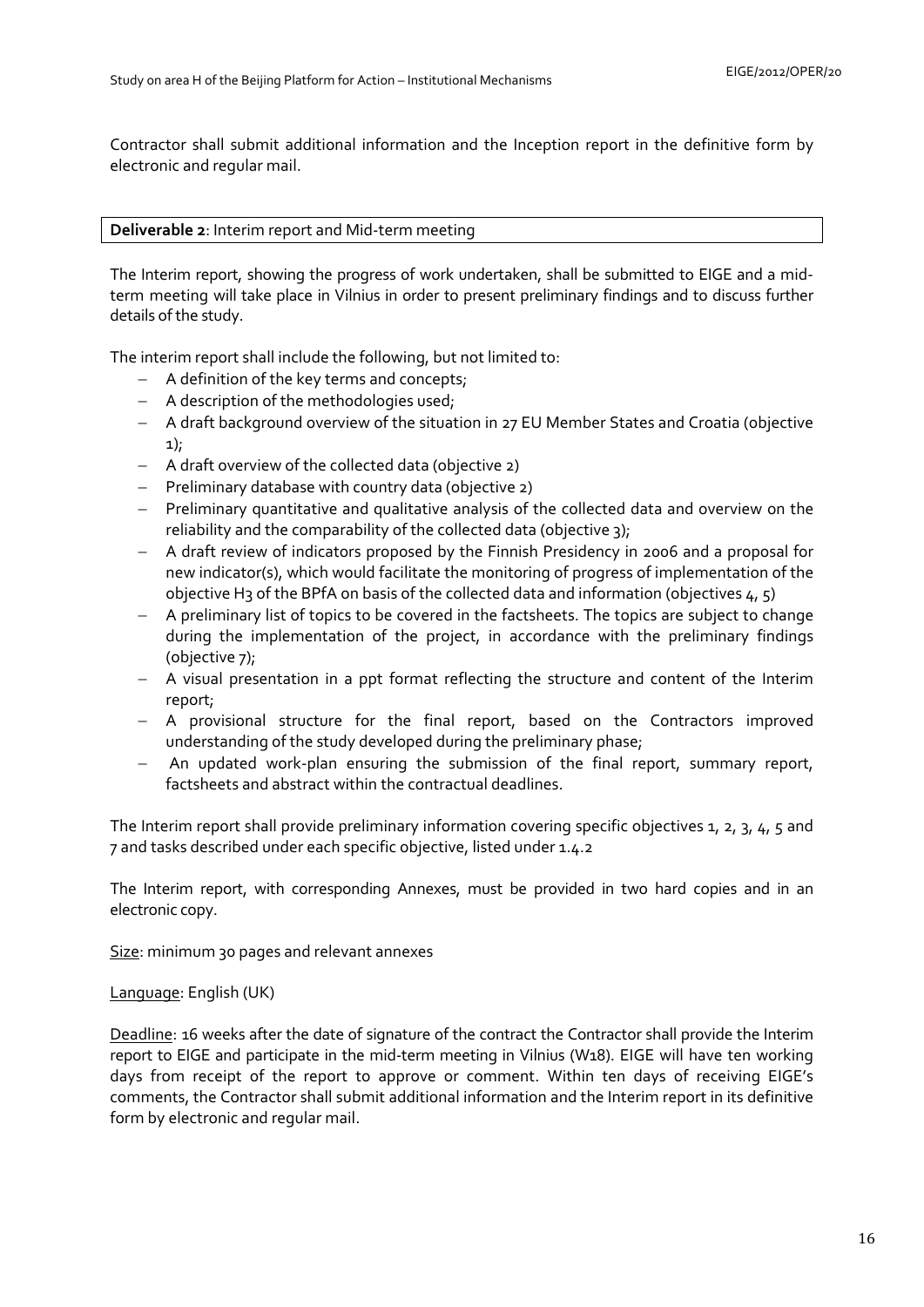Contractor shall submit additional information and the Inception report in the definitive form by electronic and regular mail.

## **Deliverable 2**: Interim report and Mid-term meeting

The Interim report, showing the progress of work undertaken, shall be submitted to EIGE and a midterm meeting will take place in Vilnius in order to present preliminary findings and to discuss further details of the study.

The interim report shall include the following, but not limited to:

- − A definition of the key terms and concepts;
- − A description of the methodologies used;
- − A draft background overview of the situation in 27 EU Member States and Croatia (objective 1);
- − A draft overview of the collected data (objective 2)
- − Preliminary database with country data (objective 2)
- − Preliminary quantitative and qualitative analysis of the collected data and overview on the reliability and the comparability of the collected data (objective 3);
- − A draft review of indicators proposed by the Finnish Presidency in 2006 and a proposal for new indicator(s), which would facilitate the monitoring of progress of implementation of the objective H<sub>3</sub> of the BPfA on basis of the collected data and information (objectives  $4, 5$ )
- − A preliminary list of topics to be covered in the factsheets. The topics are subject to change during the implementation of the project, in accordance with the preliminary findings (objective 7);
- − A visual presentation in a ppt format reflecting the structure and content of the Interim report;
- − A provisional structure for the final report, based on the Contractors improved understanding of the study developed during the preliminary phase;
- − An updated work-plan ensuring the submission of the final report, summary report, factsheets and abstract within the contractual deadlines.

The Interim report shall provide preliminary information covering specific objectives 1, 2, 3, 4, 5 and 7 and tasks described under each specific objective, listed under 1.4.2

The Interim report, with corresponding Annexes, must be provided in two hard copies and in an electronic copy.

Size: minimum 30 pages and relevant annexes

# Language: English (UK)

Deadline: 16 weeks after the date of signature of the contract the Contractor shall provide the Interim report to EIGE and participate in the mid-term meeting in Vilnius (W18). EIGE will have ten working days from receipt of the report to approve or comment. Within ten days of receiving EIGE's comments, the Contractor shall submit additional information and the Interim report in its definitive form by electronic and regular mail.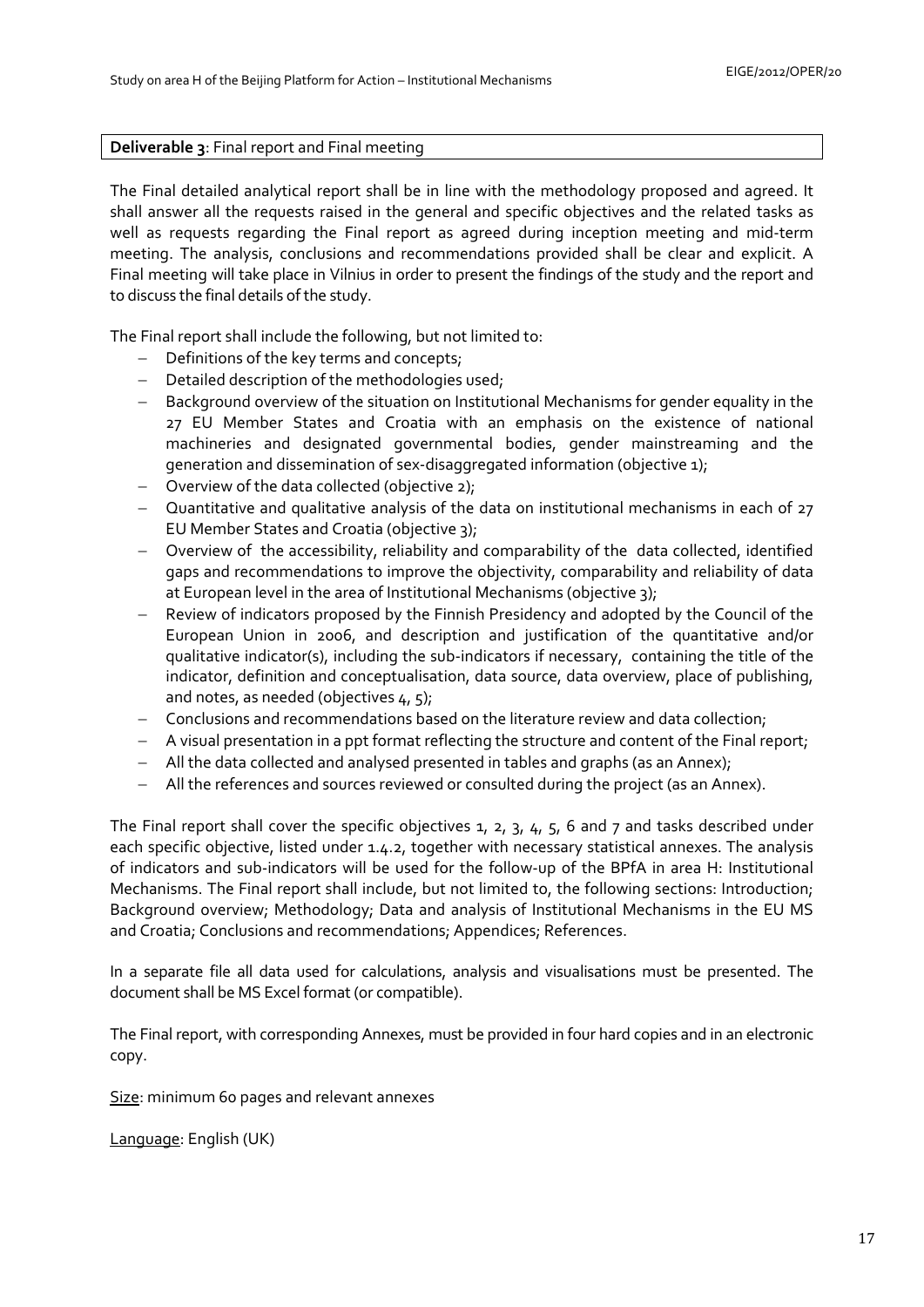#### **Deliverable 3**: Final report and Final meeting

The Final detailed analytical report shall be in line with the methodology proposed and agreed. It shall answer all the requests raised in the general and specific objectives and the related tasks as well as requests regarding the Final report as agreed during inception meeting and mid-term meeting. The analysis, conclusions and recommendations provided shall be clear and explicit. A Final meeting will take place in Vilnius in order to present the findings of the study and the report and to discuss the final details of the study.

The Final report shall include the following, but not limited to:

- − Definitions of the key terms and concepts;
- − Detailed description of the methodologies used;
- − Background overview of the situation on Institutional Mechanisms for gender equality in the 27 EU Member States and Croatia with an emphasis on the existence of national machineries and designated governmental bodies, gender mainstreaming and the generation and dissemination of sex-disaggregated information (objective 1);
- − Overview of the data collected (objective 2);
- − Quantitative and qualitative analysis of the data on institutional mechanisms in each of 27 EU Member States and Croatia (objective 3);
- − Overview of the accessibility, reliability and comparability of the data collected, identified gaps and recommendations to improve the objectivity, comparability and reliability of data at European level in the area of Institutional Mechanisms (objective 3);
- − Review of indicators proposed by the Finnish Presidency and adopted by the Council of the European Union in 2006, and description and justification of the quantitative and/or qualitative indicator(s), including the sub-indicators if necessary, containing the title of the indicator, definition and conceptualisation, data source, data overview, place of publishing, and notes, as needed (objectives 4, 5);
- − Conclusions and recommendations based on the literature review and data collection;
- − A visual presentation in a ppt format reflecting the structure and content of the Final report;
- − All the data collected and analysed presented in tables and graphs (as an Annex);
- − All the references and sources reviewed or consulted during the project (as an Annex).

The Final report shall cover the specific objectives 1, 2, 3, 4, 5, 6 and 7 and tasks described under each specific objective, listed under 1.4.2, together with necessary statistical annexes. The analysis of indicators and sub-indicators will be used for the follow-up of the BPfA in area H: Institutional Mechanisms. The Final report shall include, but not limited to, the following sections: Introduction; Background overview; Methodology; Data and analysis of Institutional Mechanisms in the EU MS and Croatia; Conclusions and recommendations; Appendices; References.

In a separate file all data used for calculations, analysis and visualisations must be presented. The document shall be MS Excel format (or compatible).

The Final report, with corresponding Annexes, must be provided in four hard copies and in an electronic copy.

Size: minimum 60 pages and relevant annexes

Language: English (UK)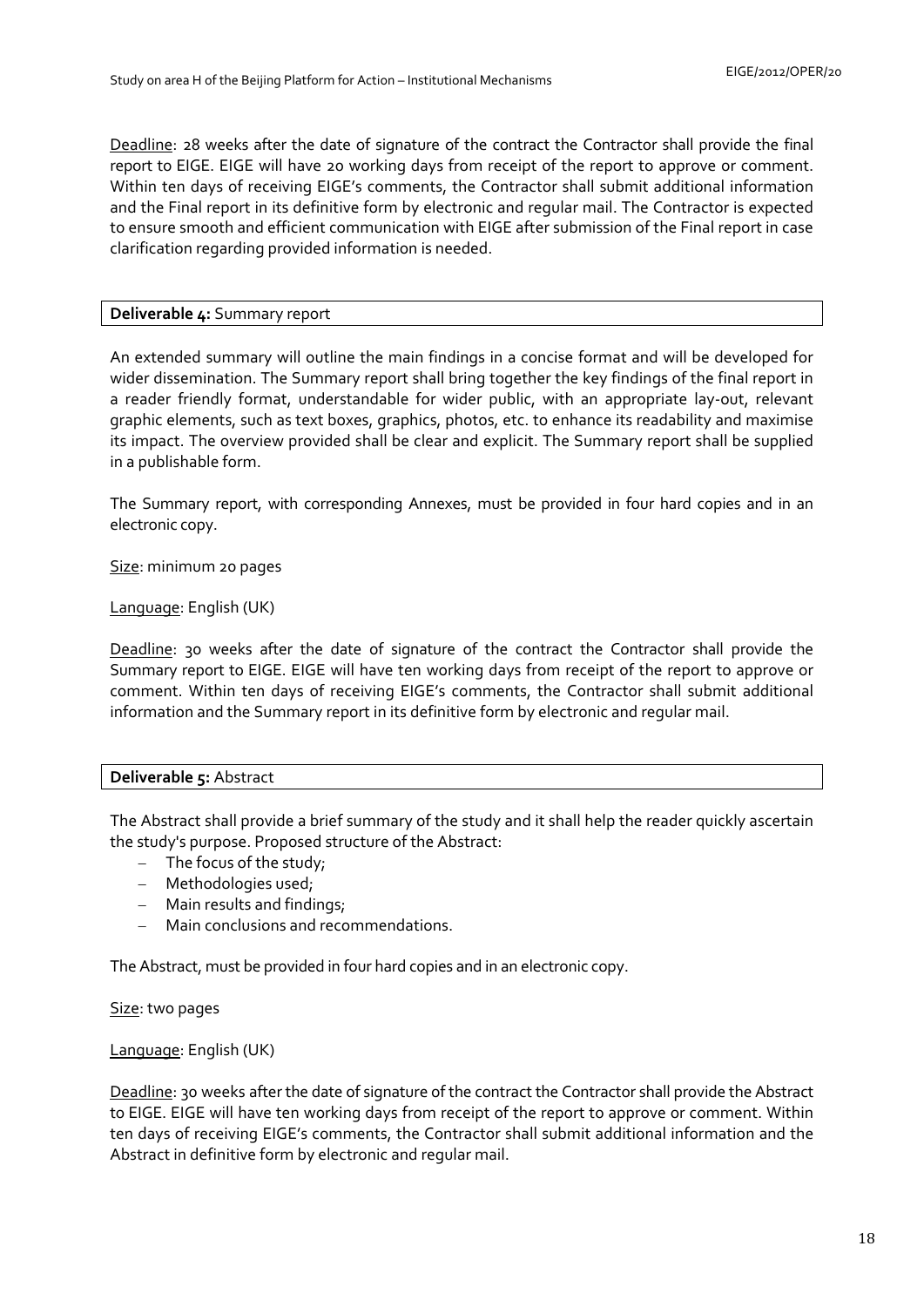Deadline: 28 weeks after the date of signature of the contract the Contractor shall provide the final report to EIGE. EIGE will have 20 working days from receipt of the report to approve or comment. Within ten days of receiving EIGE's comments, the Contractor shall submit additional information and the Final report in its definitive form by electronic and regular mail. The Contractor is expected to ensure smooth and efficient communication with EIGE after submission of the Final report in case clarification regarding provided information is needed.

# **Deliverable 4:** Summary report

An extended summary will outline the main findings in a concise format and will be developed for wider dissemination. The Summary report shall bring together the key findings of the final report in a reader friendly format, understandable for wider public, with an appropriate lay-out, relevant graphic elements, such as text boxes, graphics, photos, etc. to enhance its readability and maximise its impact. The overview provided shall be clear and explicit. The Summary report shall be supplied in a publishable form.

The Summary report, with corresponding Annexes, must be provided in four hard copies and in an electronic copy.

Size: minimum 20 pages

# Language: English (UK)

Deadline: 30 weeks after the date of signature of the contract the Contractor shall provide the Summary report to EIGE. EIGE will have ten working days from receipt of the report to approve or comment. Within ten days of receiving EIGE's comments, the Contractor shall submit additional information and the Summary report in its definitive form by electronic and regular mail.

# **Deliverable 5:** Abstract

The Abstract shall provide a brief summary of the study and it shall help the reader quickly ascertain the study's purpose. Proposed structure of the Abstract:

- − The focus of the study;
- − Methodologies used;
- − Main results and findings;
- − Main conclusions and recommendations.

The Abstract, must be provided in four hard copies and in an electronic copy.

Size: two pages

# Language: English (UK)

Deadline: 30 weeks after the date of signature of the contract the Contractor shall provide the Abstract to EIGE. EIGE will have ten working days from receipt of the report to approve or comment. Within ten days of receiving EIGE's comments, the Contractor shall submit additional information and the Abstract in definitive form by electronic and regular mail.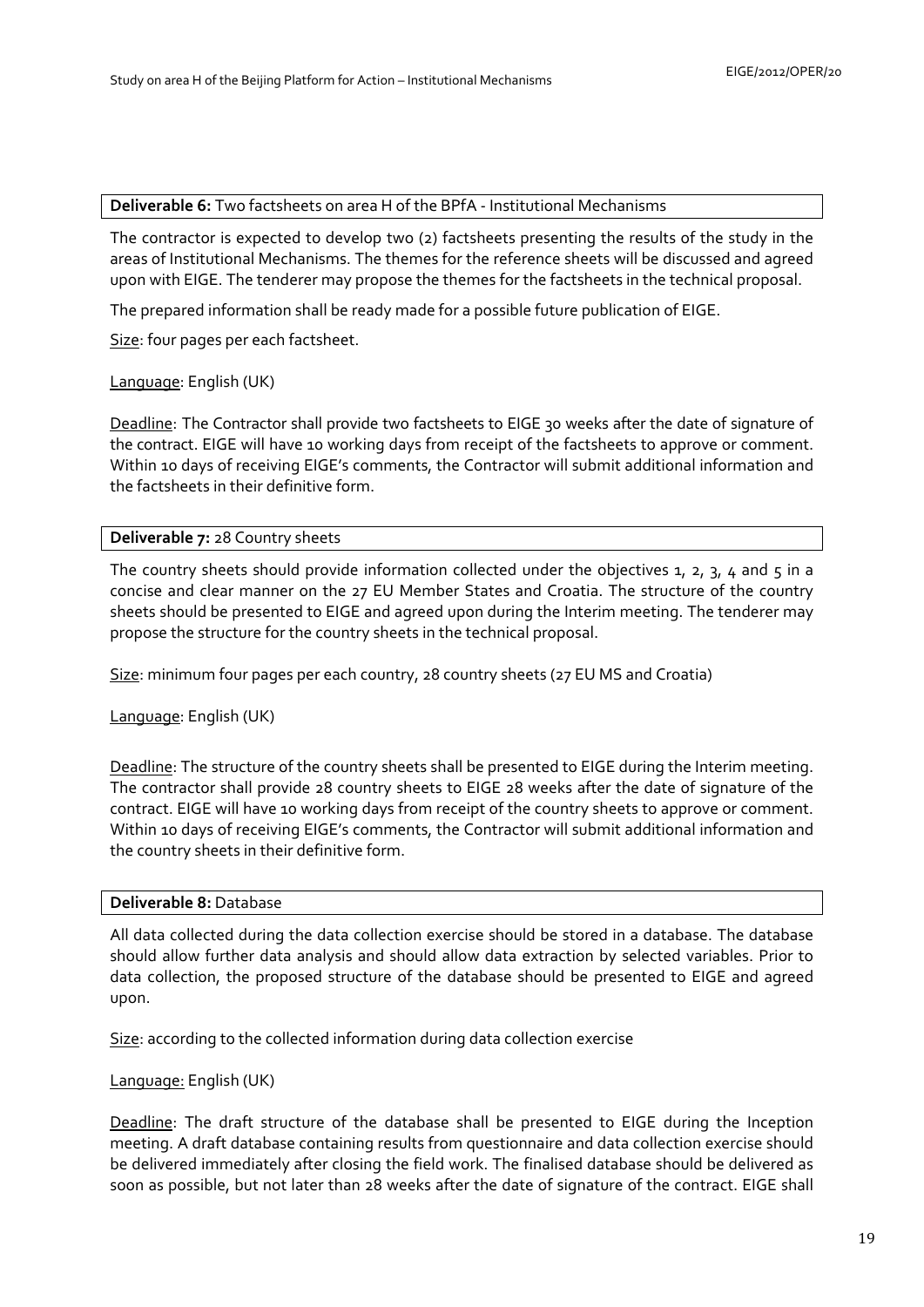#### **Deliverable 6:** Two factsheets on area H of the BPfA - Institutional Mechanisms

The contractor is expected to develop two (2) factsheets presenting the results of the study in the areas of Institutional Mechanisms. The themes for the reference sheets will be discussed and agreed upon with EIGE. The tenderer may propose the themes for the factsheets in the technical proposal.

The prepared information shall be ready made for a possible future publication of EIGE.

Size: four pages per each factsheet.

Language: English (UK)

Deadline: The Contractor shall provide two factsheets to EIGE 30 weeks after the date of signature of the contract. EIGE will have 10 working days from receipt of the factsheets to approve or comment. Within 10 days of receiving EIGE's comments, the Contractor will submit additional information and the factsheets in their definitive form.

#### **Deliverable 7:** 28 Country sheets

The country sheets should provide information collected under the objectives  $1$ ,  $2$ ,  $3$ ,  $4$  and  $5$  in a concise and clear manner on the 27 EU Member States and Croatia. The structure of the country sheets should be presented to EIGE and agreed upon during the Interim meeting. The tenderer may propose the structure for the country sheets in the technical proposal.

Size: minimum four pages per each country, 28 country sheets (27 EU MS and Croatia)

### Language: English (UK)

Deadline: The structure of the country sheets shall be presented to EIGE during the Interim meeting. The contractor shall provide 28 country sheets to EIGE 28 weeks after the date of signature of the contract. EIGE will have 10 working days from receipt of the country sheets to approve or comment. Within 10 days of receiving EIGE's comments, the Contractor will submit additional information and the country sheets in their definitive form.

### **Deliverable 8:** Database

All data collected during the data collection exercise should be stored in a database. The database should allow further data analysis and should allow data extraction by selected variables. Prior to data collection, the proposed structure of the database should be presented to EIGE and agreed upon.

Size: according to the collected information during data collection exercise

#### Language: English (UK)

Deadline: The draft structure of the database shall be presented to EIGE during the Inception meeting. A draft database containing results from questionnaire and data collection exercise should be delivered immediately after closing the field work. The finalised database should be delivered as soon as possible, but not later than 28 weeks after the date of signature of the contract. EIGE shall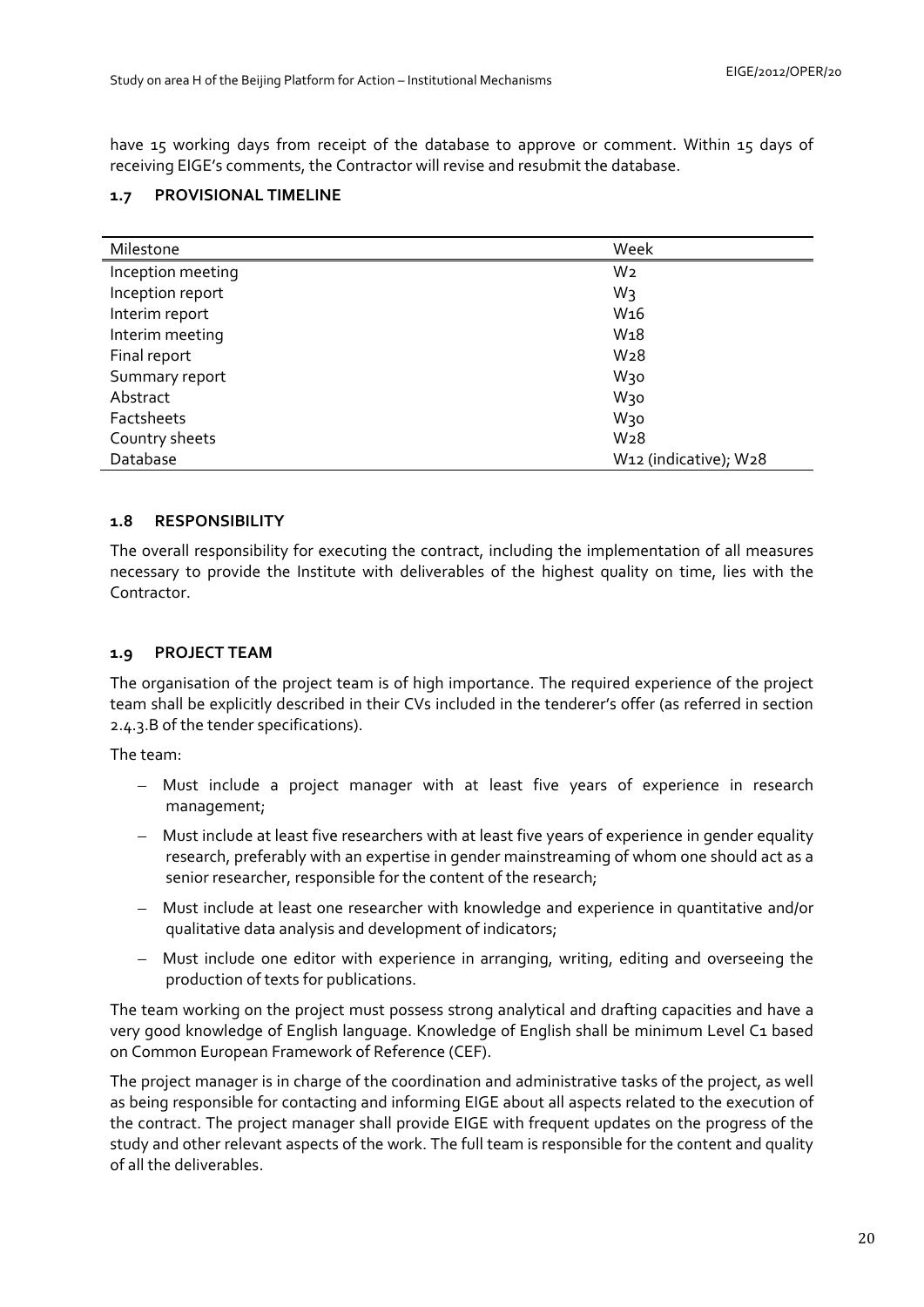have 15 working days from receipt of the database to approve or comment. Within 15 days of receiving EIGE's comments, the Contractor will revise and resubmit the database.

# <span id="page-19-0"></span>**1.7 PROVISIONAL TIMELINE**

| Milestone         | Week                                           |  |
|-------------------|------------------------------------------------|--|
| Inception meeting | W <sub>2</sub>                                 |  |
| Inception report  | W3                                             |  |
| Interim report    | W <sub>16</sub>                                |  |
| Interim meeting   | W <sub>18</sub>                                |  |
| Final report      | W <sub>28</sub>                                |  |
| Summary report    | W30                                            |  |
| Abstract          | W30                                            |  |
| Factsheets        | W30                                            |  |
| Country sheets    | W <sub>28</sub>                                |  |
| Database          | W <sub>12</sub> (indicative); W <sub>2</sub> 8 |  |

# <span id="page-19-1"></span>**1.8 RESPONSIBILITY**

The overall responsibility for executing the contract, including the implementation of all measures necessary to provide the Institute with deliverables of the highest quality on time, lies with the Contractor.

# <span id="page-19-2"></span>**1.9 PROJECT TEAM**

The organisation of the project team is of high importance. The required experience of the project team shall be explicitly described in their CVs included in the tenderer's offer (as referred in section 2.4.3.B of the tender specifications).

The team:

- Must include a project manager with at least five years of experience in research management;
- Must include at least five researchers with at least five years of experience in gender equality research, preferably with an expertise in gender mainstreaming of whom one should act as a senior researcher, responsible for the content of the research;
- Must include at least one researcher with knowledge and experience in quantitative and/or qualitative data analysis and development of indicators;
- Must include one editor with experience in arranging, writing, editing and overseeing the production of texts for publications.

The team working on the project must possess strong analytical and drafting capacities and have a very good knowledge of English language. Knowledge of English shall be minimum Level C1 based on Common European Framework of Reference (CEF).

The project manager is in charge of the coordination and administrative tasks of the project, as well as being responsible for contacting and informing EIGE about all aspects related to the execution of the contract. The project manager shall provide EIGE with frequent updates on the progress of the study and other relevant aspects of the work. The full team is responsible for the content and quality of all the deliverables.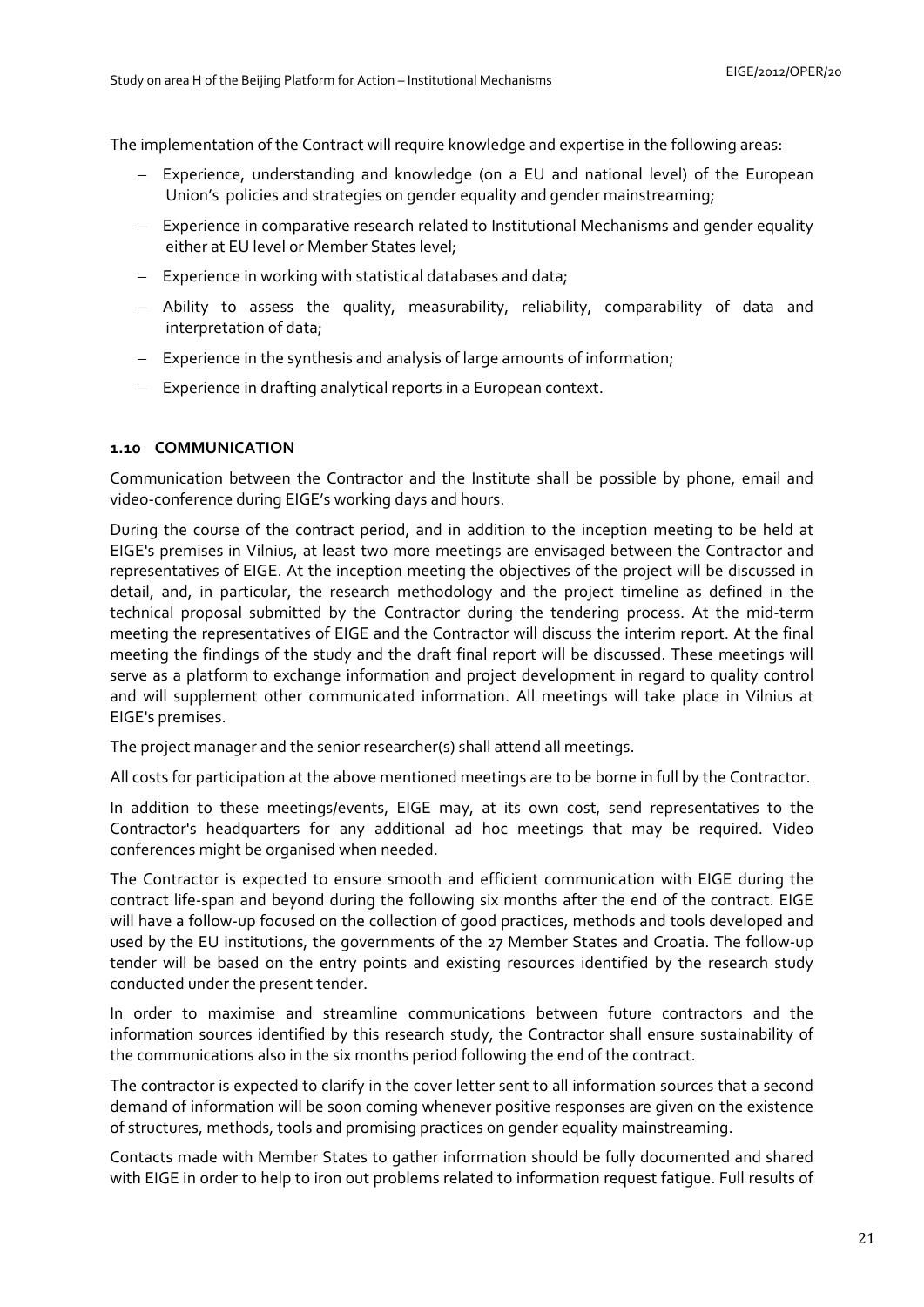The implementation of the Contract will require knowledge and expertise in the following areas:

- Experience, understanding and knowledge (on a EU and national level) of the European Union's policies and strategies on gender equality and gender mainstreaming;
- Experience in comparative research related to Institutional Mechanisms and gender equality either at EU level or Member States level;
- Experience in working with statistical databases and data;
- Ability to assess the quality, measurability, reliability, comparability of data and interpretation of data;
- Experience in the synthesis and analysis of large amounts of information;
- Experience in drafting analytical reports in a European context.

### <span id="page-20-0"></span>**1.10 COMMUNICATION**

Communication between the Contractor and the Institute shall be possible by phone, email and video-conference during EIGE's working days and hours.

During the course of the contract period, and in addition to the inception meeting to be held at EIGE's premises in Vilnius, at least two more meetings are envisaged between the Contractor and representatives of EIGE. At the inception meeting the objectives of the project will be discussed in detail, and, in particular, the research methodology and the project timeline as defined in the technical proposal submitted by the Contractor during the tendering process. At the mid-term meeting the representatives of EIGE and the Contractor will discuss the interim report. At the final meeting the findings of the study and the draft final report will be discussed. These meetings will serve as a platform to exchange information and project development in regard to quality control and will supplement other communicated information. All meetings will take place in Vilnius at EIGE's premises.

The project manager and the senior researcher(s) shall attend all meetings.

All costs for participation at the above mentioned meetings are to be borne in full by the Contractor.

In addition to these meetings/events, EIGE may, at its own cost, send representatives to the Contractor's headquarters for any additional ad hoc meetings that may be required. Video conferences might be organised when needed.

The Contractor is expected to ensure smooth and efficient communication with EIGE during the contract life-span and beyond during the following six months after the end of the contract. EIGE will have a follow-up focused on the collection of good practices, methods and tools developed and used by the EU institutions, the governments of the 27 Member States and Croatia. The follow-up tender will be based on the entry points and existing resources identified by the research study conducted under the present tender.

In order to maximise and streamline communications between future contractors and the information sources identified by this research study, the Contractor shall ensure sustainability of the communications also in the six months period following the end of the contract.

The contractor is expected to clarify in the cover letter sent to all information sources that a second demand of information will be soon coming whenever positive responses are given on the existence of structures, methods, tools and promising practices on gender equality mainstreaming.

Contacts made with Member States to gather information should be fully documented and shared with EIGE in order to help to iron out problems related to information request fatigue. Full results of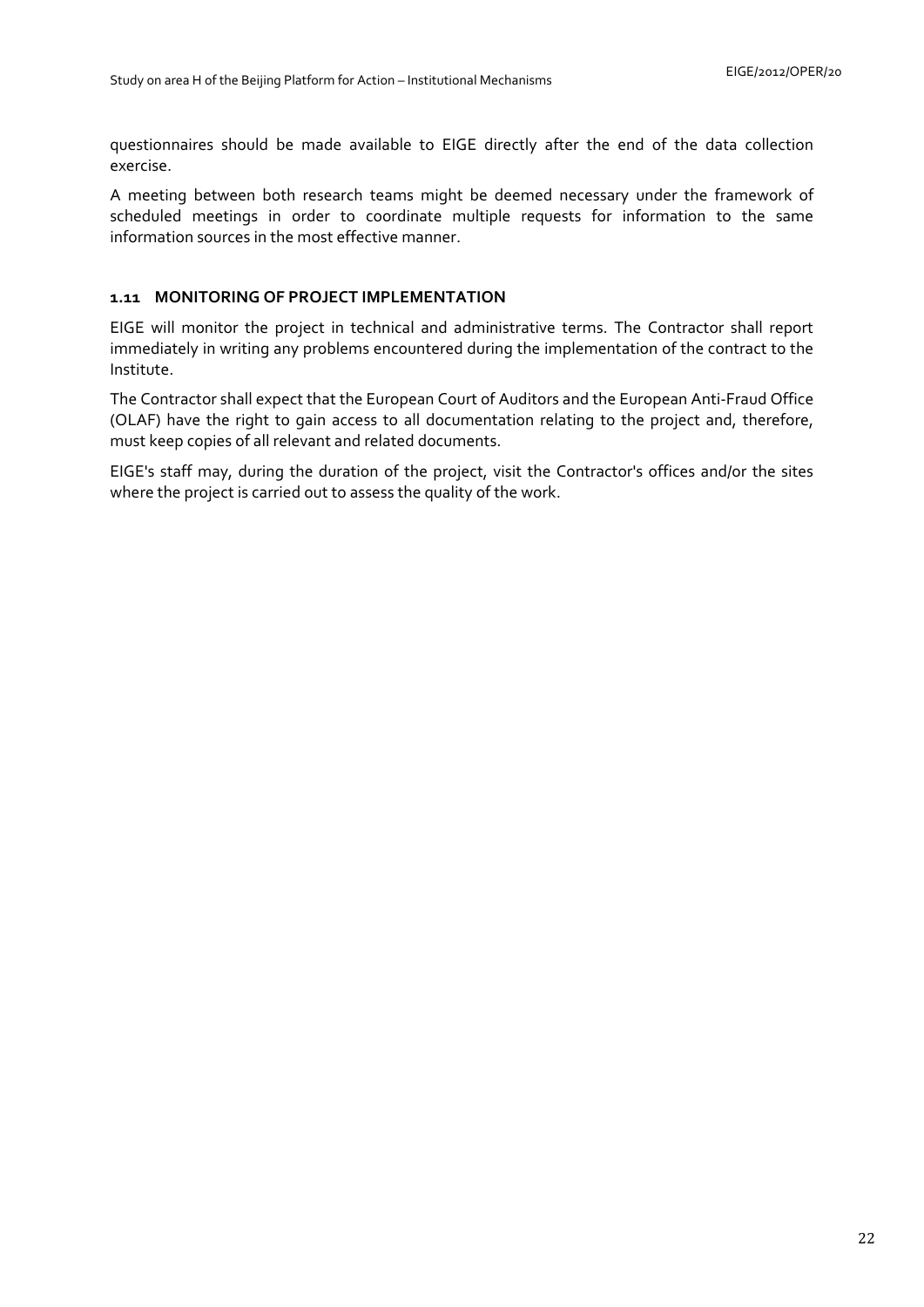questionnaires should be made available to EIGE directly after the end of the data collection exercise.

A meeting between both research teams might be deemed necessary under the framework of scheduled meetings in order to coordinate multiple requests for information to the same information sources in the most effective manner.

# <span id="page-21-0"></span>**1.11 MONITORING OF PROJECT IMPLEMENTATION**

EIGE will monitor the project in technical and administrative terms. The Contractor shall report immediately in writing any problems encountered during the implementation of the contract to the Institute.

The Contractor shall expect that the European Court of Auditors and the European Anti-Fraud Office (OLAF) have the right to gain access to all documentation relating to the project and, therefore, must keep copies of all relevant and related documents.

EIGE's staff may, during the duration of the project, visit the Contractor's offices and/or the sites where the project is carried out to assess the quality of the work.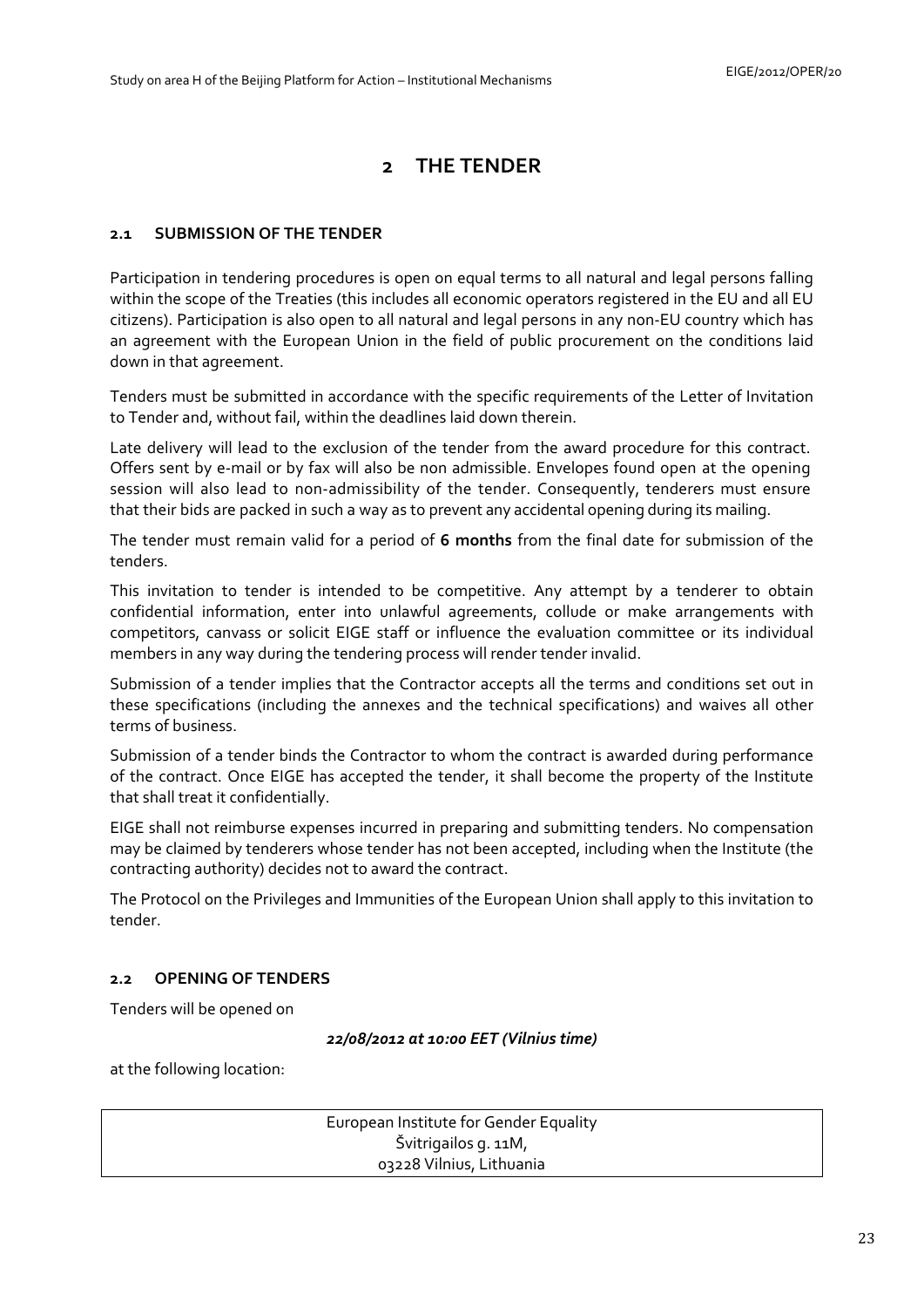# **2 THE TENDER**

# <span id="page-22-1"></span><span id="page-22-0"></span>**2.1 SUBMISSION OF THE TENDER**

Participation in tendering procedures is open on equal terms to all natural and legal persons falling within the scope of the Treaties (this includes all economic operators registered in the EU and all EU citizens). Participation is also open to all natural and legal persons in any non-EU country which has an agreement with the European Union in the field of public procurement on the conditions laid down in that agreement.

Tenders must be submitted in accordance with the specific requirements of the Letter of Invitation to Tender and, without fail, within the deadlines laid down therein.

Late delivery will lead to the exclusion of the tender from the award procedure for this contract. Offers sent by e-mail or by fax will also be non admissible. Envelopes found open at the opening session will also lead to non-admissibility of the tender. Consequently, tenderers must ensure that their bids are packed in such a way as to prevent any accidental opening during its mailing.

The tender must remain valid for a period of **6 months** from the final date for submission of the tenders.

This invitation to tender is intended to be competitive. Any attempt by a tenderer to obtain confidential information, enter into unlawful agreements, collude or make arrangements with competitors, canvass or solicit EIGE staff or influence the evaluation committee or its individual members in any way during the tendering process will render tender invalid.

Submission of a tender implies that the Contractor accepts all the terms and conditions set out in these specifications (including the annexes and the technical specifications) and waives all other terms of business.

Submission of a tender binds the Contractor to whom the contract is awarded during performance of the contract. Once EIGE has accepted the tender, it shall become the property of the Institute that shall treat it confidentially.

EIGE shall not reimburse expenses incurred in preparing and submitting tenders. No compensation may be claimed by tenderers whose tender has not been accepted, including when the Institute (the contracting authority) decides not to award the contract.

The Protocol on the Privileges and Immunities of the European Union shall apply to this invitation to tender.

# <span id="page-22-2"></span>**2.2 OPENING OF TENDERS**

Tenders will be opened on

*22/08/2012 at 10:00 EET (Vilnius time)*

at the following location:

European Institute for Gender Equality Švitrigailos g. 11M, 03228 Vilnius, Lithuania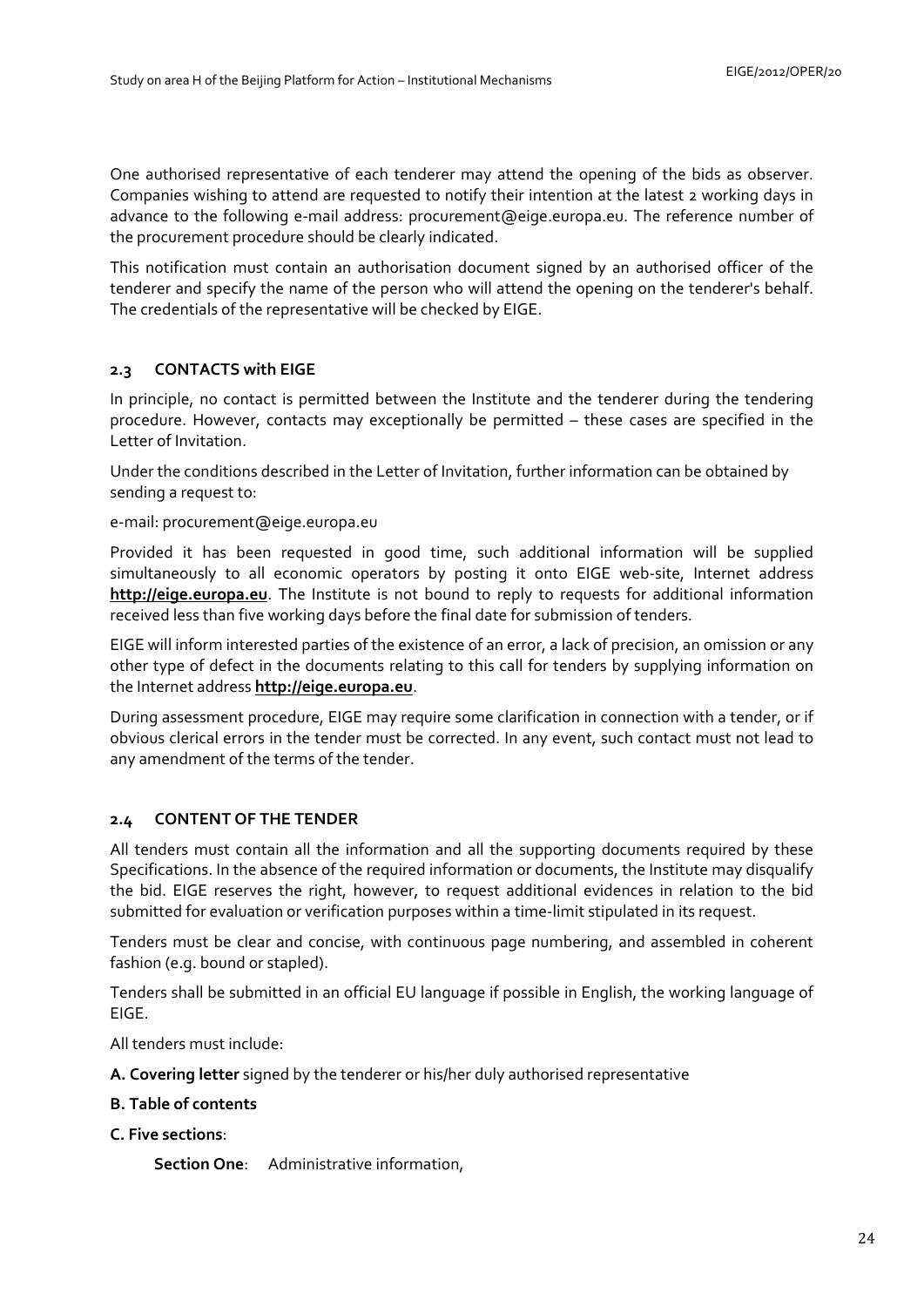One authorised representative of each tenderer may attend the opening of the bids as observer. Companies wishing to attend are requested to notify their intention at the latest 2 working days in advance to the following e-mail address: [procurement@eige.europa.eu.](mailto:procurement@eige.europa.eu) The reference number of the procurement procedure should be clearly indicated.

This notification must contain an authorisation document signed by an authorised officer of the tenderer and specify the name of the person who will attend the opening on the tenderer's behalf. The credentials of the representative will be checked by EIGE.

# <span id="page-23-0"></span>**2.3 CONTACTS with EIGE**

In principle, no contact is permitted between the Institute and the tenderer during the tendering procedure. However, contacts may exceptionally be permitted – these cases are specified in the Letter of Invitation.

Under the conditions described in the Letter of Invitation, further information can be obtained by sending a request to:

e-mail: procurement@eige.europa.eu

Provided it has been requested in good time, such additional information will be supplied simultaneously to all economic operators by posting it onto EIGE web-site, Internet address **[http://eige.europa.eu](http://eige.europa.eu/)**. The Institute is not bound to reply to requests for additional information received less than five working days before the final date for submission of tenders.

EIGE will inform interested parties of the existence of an error, a lack of precision, an omission or any other type of defect in the documents relating to this call for tenders by supplying information on the Internet address **[http://eige.europa.eu](http://eige.europa.eu/)**.

During assessment procedure, EIGE may require some clarification in connection with a tender, or if obvious clerical errors in the tender must be corrected. In any event, such contact must not lead to any amendment of the terms of the tender.

### <span id="page-23-1"></span>**2.4 CONTENT OF THE TENDER**

All tenders must contain all the information and all the supporting documents required by these Specifications. In the absence of the required information or documents, the Institute may disqualify the bid. EIGE reserves the right, however, to request additional evidences in relation to the bid submitted for evaluation or verification purposes within a time-limit stipulated in its request.

Tenders must be clear and concise, with continuous page numbering, and assembled in coherent fashion (e.g. bound or stapled).

Tenders shall be submitted in an official EU language if possible in English, the working language of EIGE.

All tenders must include:

**A. Covering letter** signed by the tenderer or his/her duly authorised representative

#### **B. Table of contents**

## **C. Five sections**:

**Section One**: Administrative information,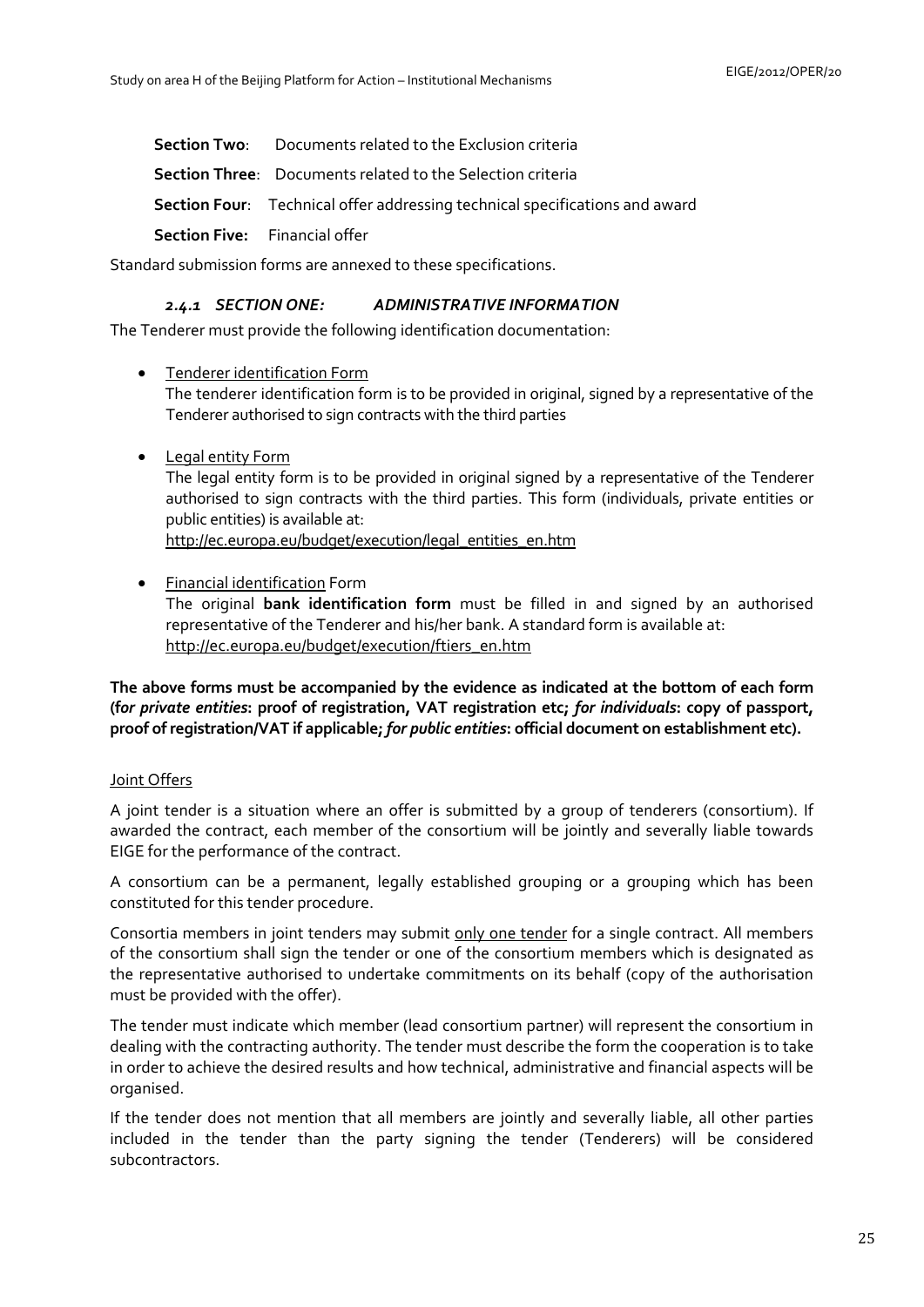**Section Two**: Documents related to the Exclusion criteria

**Section Three**: Documents related to the Selection criteria

**Section Four**: Technical offer addressing technical specifications and award

**Section Five:** Financial offer

<span id="page-24-0"></span>Standard submission forms are annexed to these specifications.

# *2.4.1 SECTION ONE: ADMINISTRATIVE INFORMATION*

The Tenderer must provide the following identification documentation:

- Tenderer identification Form The tenderer identification form is to be provided in original, signed by a representative of the Tenderer authorised to sign contracts with the third parties
- Legal entity Form The legal entity form is to be provided in original signed by a representative of the Tenderer authorised to sign contracts with the third parties. This form (individuals, private entities or public entities) is available at: [http://ec.europa.eu/budget/execution/legal\\_entities\\_en.htm](http://ec.europa.eu/budget/execution/legal_entities_en.htm)
- Financial identification Form

The original **bank identification form** must be filled in and signed by an authorised representative of the Tenderer and his/her bank. A standard form is available at: [http://ec.europa.eu/budget/execution/ftiers\\_en.htm](http://ec.europa.eu/budget/execution/ftiers_en.htm)

**The above forms must be accompanied by the evidence as indicated at the bottom of each form (f***or private entities***: proof of registration, VAT registration etc;** *for individuals***: copy of passport, proof of registration/VAT if applicable;** *for public entities***: official document on establishment etc).** 

### Joint Offers

A joint tender is a situation where an offer is submitted by a group of tenderers (consortium). If awarded the contract, each member of the consortium will be jointly and severally liable towards EIGE for the performance of the contract.

A consortium can be a permanent, legally established grouping or a grouping which has been constituted for this tender procedure.

Consortia members in joint tenders may submit only one tender for a single contract. All members of the consortium shall sign the tender or one of the consortium members which is designated as the representative authorised to undertake commitments on its behalf (copy of the authorisation must be provided with the offer).

The tender must indicate which member (lead consortium partner) will represent the consortium in dealing with the contracting authority. The tender must describe the form the cooperation is to take in order to achieve the desired results and how technical, administrative and financial aspects will be organised.

If the tender does not mention that all members are jointly and severally liable, all other parties included in the tender than the party signing the tender (Tenderers) will be considered subcontractors.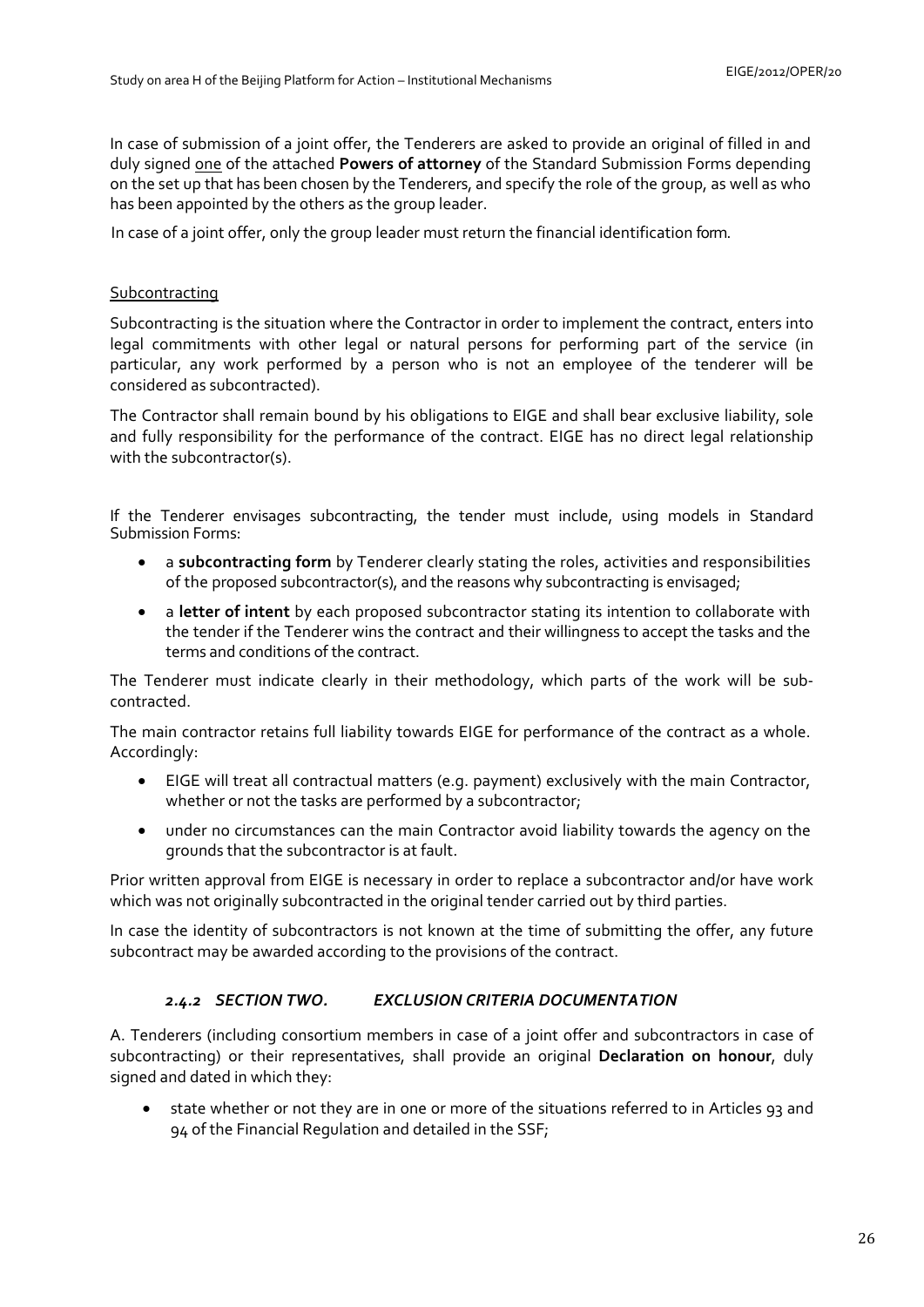In case of submission of a joint offer, the Tenderers are asked to provide an original of filled in and duly signed one of the attached **Powers of attorney** of the Standard Submission Forms depending on the set up that has been chosen by the Tenderers, and specify the role of the group, as well as who has been appointed by the others as the group leader.

In case of a joint offer, only the group leader must return the financial identification form.

# Subcontracting

Subcontracting is the situation where the Contractor in order to implement the contract, enters into legal commitments with other legal or natural persons for performing part of the service (in particular, any work performed by a person who is not an employee of the tenderer will be considered as subcontracted).

The Contractor shall remain bound by his obligations to EIGE and shall bear exclusive liability, sole and fully responsibility for the performance of the contract. EIGE has no direct legal relationship with the subcontractor(s).

If the Tenderer envisages subcontracting, the tender must include, using models in Standard Submission Forms:

- a **subcontracting form** by Tenderer clearly stating the roles, activities and responsibilities of the proposed subcontractor(s), and the reasons why subcontracting is envisaged;
- a **letter of intent** by each proposed subcontractor stating its intention to collaborate with the tender if the Tenderer wins the contract and their willingness to accept the tasks and the terms and conditions of the contract.

The Tenderer must indicate clearly in their methodology, which parts of the work will be subcontracted.

The main contractor retains full liability towards EIGE for performance of the contract as a whole. Accordingly:

- EIGE will treat all contractual matters (e.g. payment) exclusively with the main Contractor, whether or not the tasks are performed by a subcontractor;
- under no circumstances can the main Contractor avoid liability towards the agency on the grounds that the subcontractor is at fault.

Prior written approval from EIGE is necessary in order to replace a subcontractor and/or have work which was not originally subcontracted in the original tender carried out by third parties.

<span id="page-25-0"></span>In case the identity of subcontractors is not known at the time of submitting the offer, any future subcontract may be awarded according to the provisions of the contract.

# *2.4.2 SECTION TWO. EXCLUSION CRITERIA DOCUMENTATION*

A. Tenderers (including consortium members in case of a joint offer and subcontractors in case of subcontracting) or their representatives, shall provide an original **Declaration on honour**, duly signed and dated in which they:

• state whether or not they are in one or more of the situations referred to in Articles 93 and 94 of the Financial Regulation and detailed in the SSF;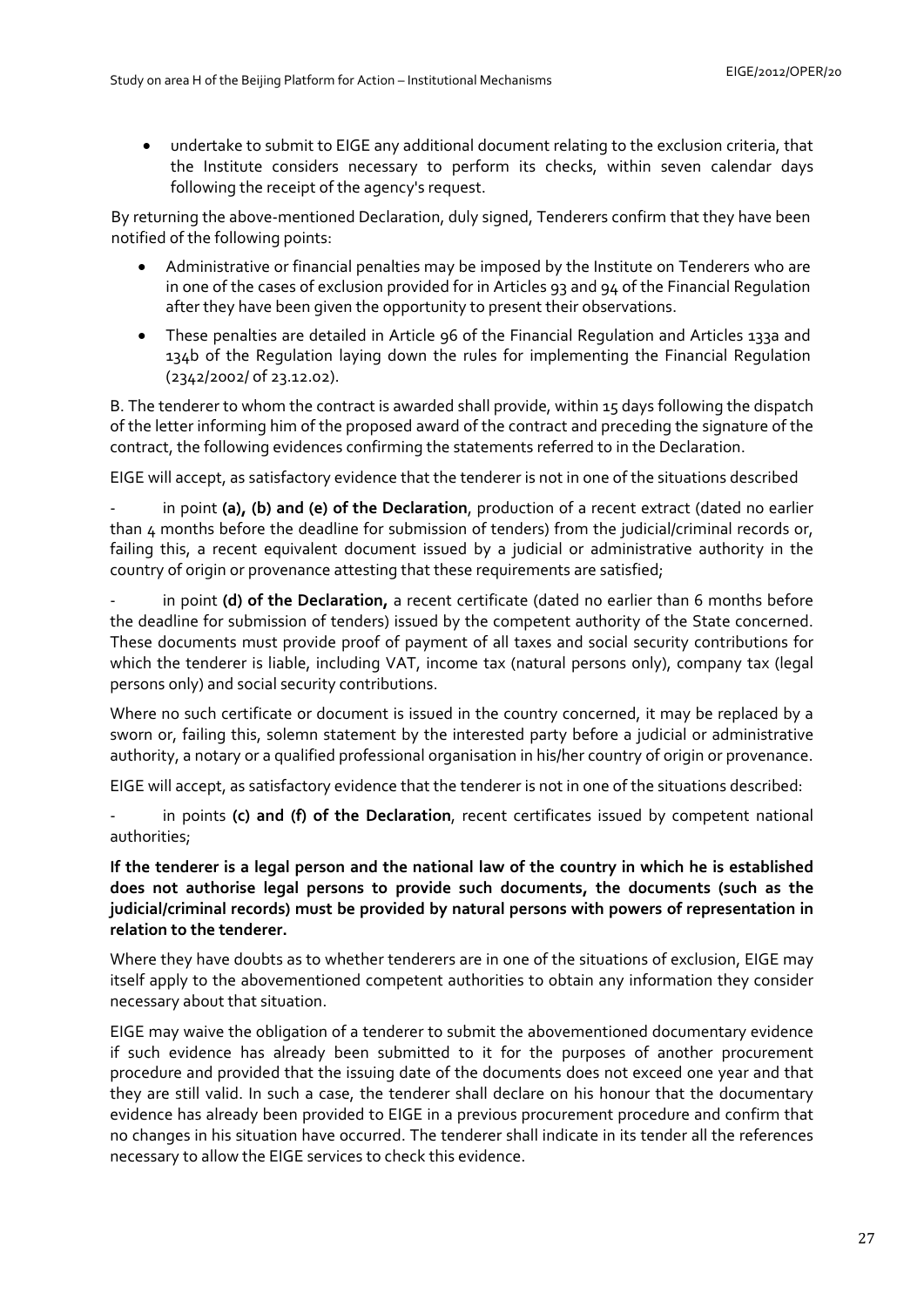• undertake to submit to EIGE any additional document relating to the exclusion criteria, that the Institute considers necessary to perform its checks, within seven calendar days following the receipt of the agency's request.

By returning the above-mentioned Declaration, duly signed, Tenderers confirm that they have been notified of the following points:

- Administrative or financial penalties may be imposed by the Institute on Tenderers who are in one of the cases of exclusion provided for in Articles 93 and 94 of the Financial Regulation after they have been given the opportunity to present their observations.
- These penalties are detailed in Article 96 of the Financial Regulation and Articles 133a and 134b of the Regulation laying down the rules for implementing the Financial Regulation (2342/2002/ of 23.12.02).

B. The tenderer to whom the contract is awarded shall provide, within 15 days following the dispatch of the letter informing him of the proposed award of the contract and preceding the signature of the contract, the following evidences confirming the statements referred to in the Declaration.

EIGE will accept, as satisfactory evidence that the tenderer is not in one of the situations described

in point (a), (b) and (e) of the Declaration, production of a recent extract (dated no earlier than 4 months before the deadline for submission of tenders) from the judicial/criminal records or, failing this, a recent equivalent document issued by a judicial or administrative authority in the country of origin or provenance attesting that these requirements are satisfied;

in point (d) of the Declaration, a recent certificate (dated no earlier than 6 months before the deadline for submission of tenders) issued by the competent authority of the State concerned. These documents must provide proof of payment of all taxes and social security contributions for which the tenderer is liable, including VAT, income tax (natural persons only), company tax (legal persons only) and social security contributions.

Where no such certificate or document is issued in the country concerned, it may be replaced by a sworn or, failing this, solemn statement by the interested party before a judicial or administrative authority, a notary or a qualified professional organisation in his/her country of origin or provenance.

EIGE will accept, as satisfactory evidence that the tenderer is not in one of the situations described:

in points (c) and (f) of the Declaration, recent certificates issued by competent national authorities;

**If the tenderer is a legal person and the national law of the country in which he is established does not authorise legal persons to provide such documents, the documents (such as the judicial/criminal records) must be provided by natural persons with powers of representation in relation to the tenderer.** 

Where they have doubts as to whether tenderers are in one of the situations of exclusion, EIGE may itself apply to the abovementioned competent authorities to obtain any information they consider necessary about that situation.

EIGE may waive the obligation of a tenderer to submit the abovementioned documentary evidence if such evidence has already been submitted to it for the purposes of another procurement procedure and provided that the issuing date of the documents does not exceed one year and that they are still valid. In such a case, the tenderer shall declare on his honour that the documentary evidence has already been provided to EIGE in a previous procurement procedure and confirm that no changes in his situation have occurred. The tenderer shall indicate in its tender all the references necessary to allow the EIGE services to check this evidence.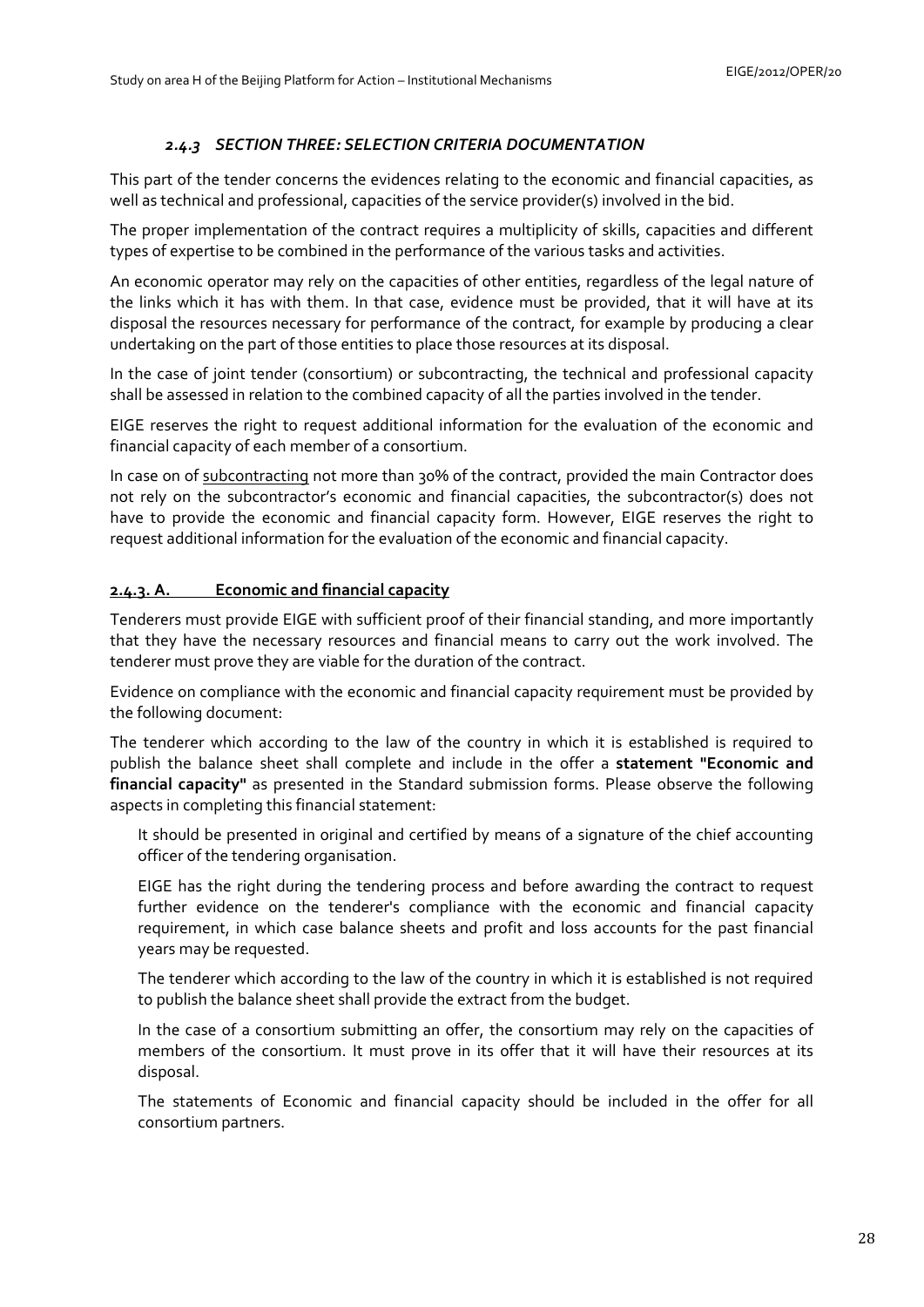# *2.4.3 SECTION THREE: SELECTION CRITERIA DOCUMENTATION*

<span id="page-27-0"></span>This part of the tender concerns the evidences relating to the economic and financial capacities, as well as technical and professional, capacities of the service provider(s) involved in the bid.

The proper implementation of the contract requires a multiplicity of skills, capacities and different types of expertise to be combined in the performance of the various tasks and activities.

An economic operator may rely on the capacities of other entities, regardless of the legal nature of the links which it has with them. In that case, evidence must be provided, that it will have at its disposal the resources necessary for performance of the contract, for example by producing a clear undertaking on the part of those entities to place those resources at its disposal.

In the case of joint tender (consortium) or subcontracting, the technical and professional capacity shall be assessed in relation to the combined capacity of all the parties involved in the tender.

EIGE reserves the right to request additional information for the evaluation of the economic and financial capacity of each member of a consortium.

In case on of subcontracting not more than 30% of the contract, provided the main Contractor does not rely on the subcontractor's economic and financial capacities, the subcontractor(s) does not have to provide the economic and financial capacity form. However, EIGE reserves the right to request additional information for the evaluation of the economic and financial capacity.

# **2.4.3. A. Economic and financial capacity**

Tenderers must provide EIGE with sufficient proof of their financial standing, and more importantly that they have the necessary resources and financial means to carry out the work involved. The tenderer must prove they are viable for the duration of the contract.

Evidence on compliance with the economic and financial capacity requirement must be provided by the following document:

The tenderer which according to the law of the country in which it is established is required to publish the balance sheet shall complete and include in the offer a **statement "Economic and financial capacity"** as presented in the Standard submission forms. Please observe the following aspects in completing this financial statement:

It should be presented in original and certified by means of a signature of the chief accounting officer of the tendering organisation.

EIGE has the right during the tendering process and before awarding the contract to request further evidence on the tenderer's compliance with the economic and financial capacity requirement, in which case balance sheets and profit and loss accounts for the past financial years may be requested.

The tenderer which according to the law of the country in which it is established is not required to publish the balance sheet shall provide the extract from the budget.

In the case of a consortium submitting an offer, the consortium may rely on the capacities of members of the consortium. It must prove in its offer that it will have their resources at its disposal.

The statements of Economic and financial capacity should be included in the offer for all consortium partners.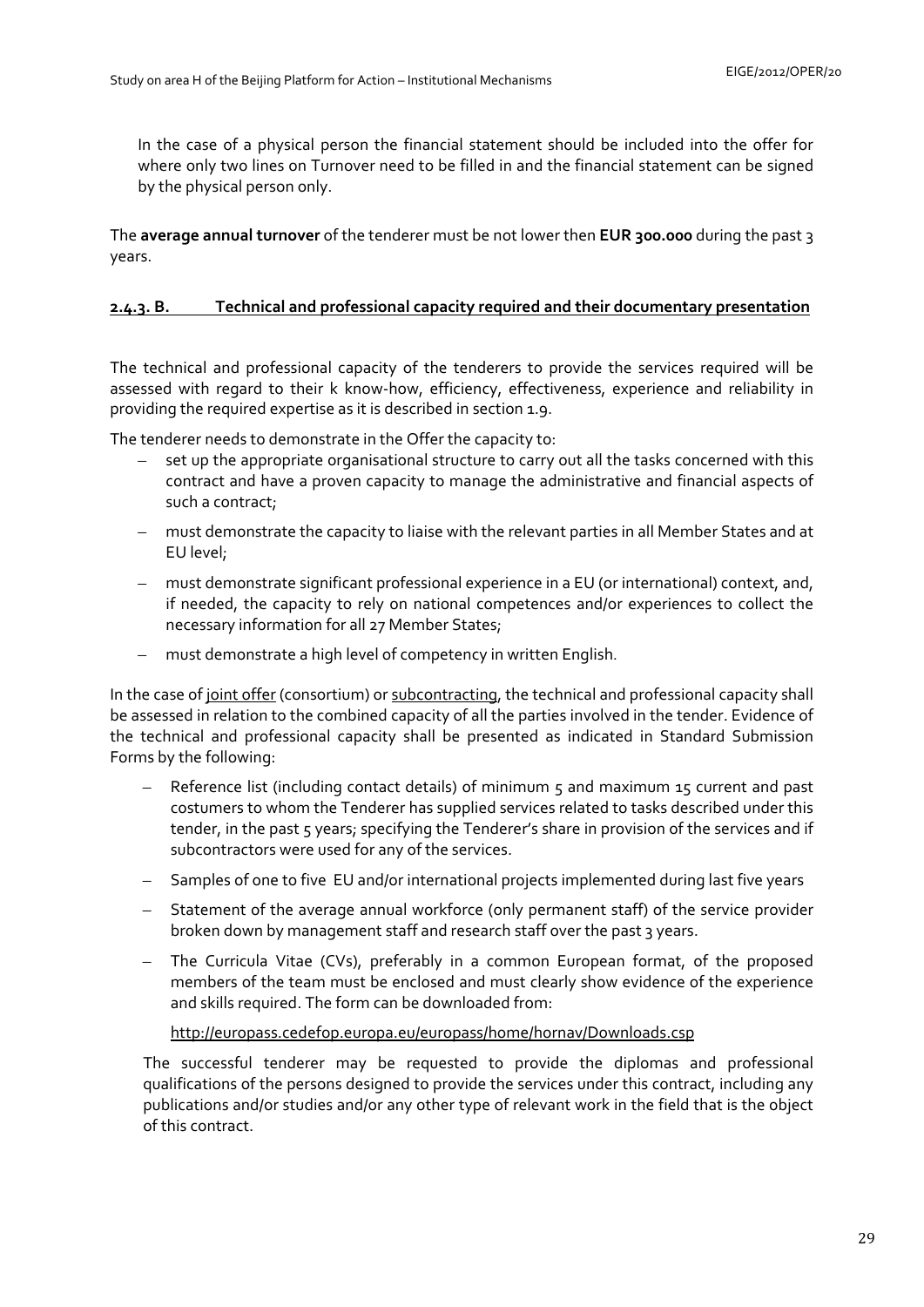In the case of a physical person the financial statement should be included into the offer for where only two lines on Turnover need to be filled in and the financial statement can be signed by the physical person only.

The **average annual turnover** of the tenderer must be not lower then **EUR 300.000** during the past 3 years.

# **2.4.3. B. Technical and professional capacity required and their documentary presentation**

The technical and professional capacity of the tenderers to provide the services required will be assessed with regard to their k know-how, efficiency, effectiveness, experience and reliability in providing the required expertise as it is described in section 1.9.

The tenderer needs to demonstrate in the Offer the capacity to:

- set up the appropriate organisational structure to carry out all the tasks concerned with this contract and have a proven capacity to manage the administrative and financial aspects of such a contract;
- must demonstrate the capacity to liaise with the relevant parties in all Member States and at EU level;
- must demonstrate significant professional experience in a EU (or international) context, and, if needed, the capacity to rely on national competences and/or experiences to collect the necessary information for all 27 Member States;
- must demonstrate a high level of competency in written English.

In the case of joint offer (consortium) or subcontracting, the technical and professional capacity shall be assessed in relation to the combined capacity of all the parties involved in the tender. Evidence of the technical and professional capacity shall be presented as indicated in Standard Submission Forms by the following:

- Reference list (including contact details) of minimum 5 and maximum 15 current and past costumers to whom the Tenderer has supplied services related to tasks described under this tender, in the past 5 years; specifying the Tenderer's share in provision of the services and if subcontractors were used for any of the services.
- Samples of one to five EU and/or international projects implemented during last five years
- Statement of the average annual workforce (only permanent staff) of the service provider broken down by management staff and research staff over the past 3 years.
- The Curricula Vitae (CVs), preferably in a common European format, of the proposed members of the team must be enclosed and must clearly show evidence of the experience and skills required. The form can be downloaded from:

### <http://europass.cedefop.europa.eu/europass/home/hornav/Downloads.csp>

The successful tenderer may be requested to provide the diplomas and professional qualifications of the persons designed to provide the services under this contract, including any publications and/or studies and/or any other type of relevant work in the field that is the object of this contract.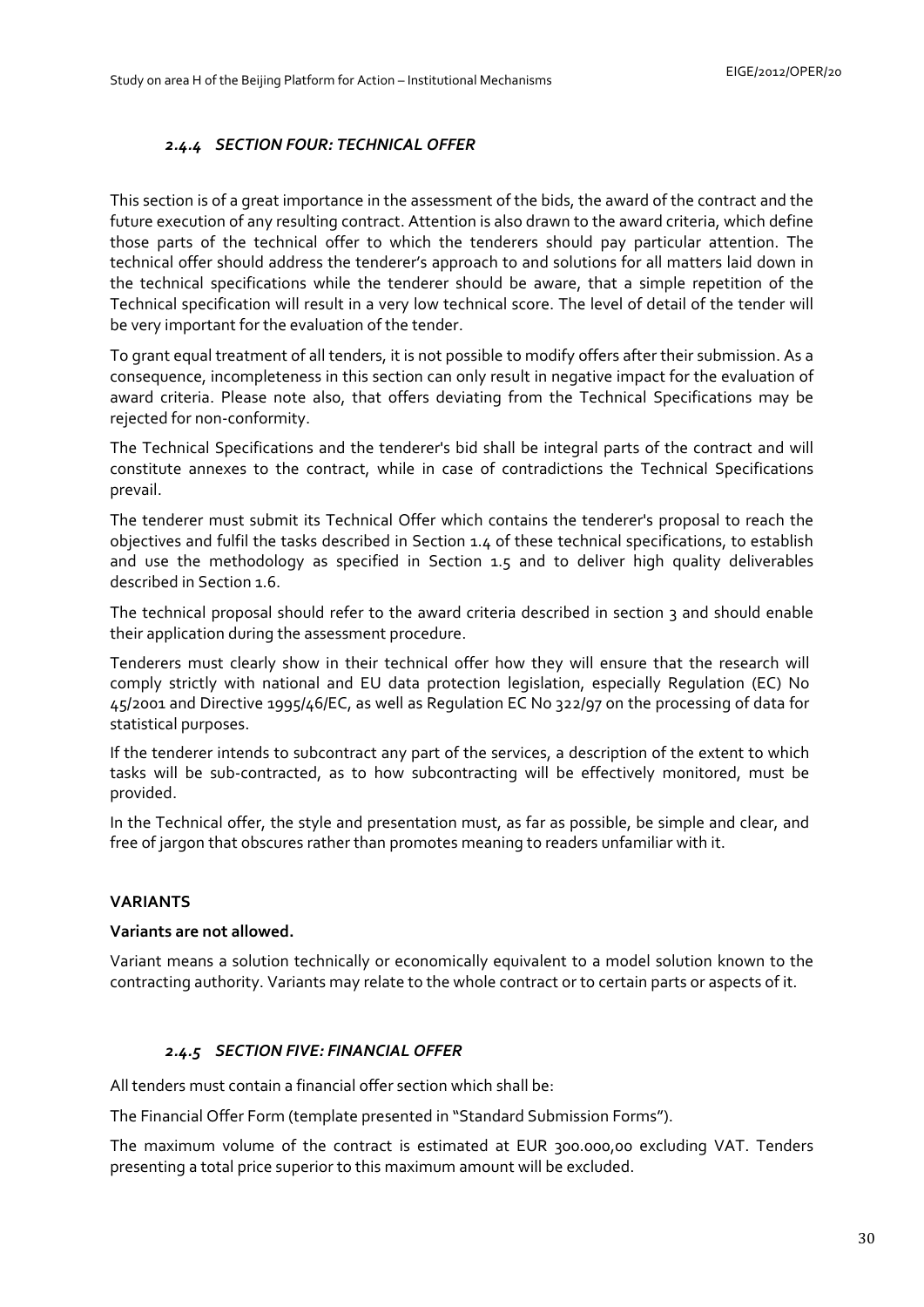# *2.4.4 SECTION FOUR: TECHNICAL OFFER*

<span id="page-29-0"></span>This section is of a great importance in the assessment of the bids, the award of the contract and the future execution of any resulting contract. Attention is also drawn to the award criteria, which define those parts of the technical offer to which the tenderers should pay particular attention. The technical offer should address the tenderer's approach to and solutions for all matters laid down in the technical specifications while the tenderer should be aware, that a simple repetition of the Technical specification will result in a very low technical score. The level of detail of the tender will be very important for the evaluation of the tender.

To grant equal treatment of all tenders, it is not possible to modify offers after their submission. As a consequence, incompleteness in this section can only result in negative impact for the evaluation of award criteria. Please note also, that offers deviating from the Technical Specifications may be rejected for non-conformity.

The Technical Specifications and the tenderer's bid shall be integral parts of the contract and will constitute annexes to the contract, while in case of contradictions the Technical Specifications prevail.

The tenderer must submit its Technical Offer which contains the tenderer's proposal to reach the objectives and fulfil the tasks described in Section 1.4 of these technical specifications, to establish and use the methodology as specified in Section 1.5 and to deliver high quality deliverables described in Section 1.6.

The technical proposal should refer to the award criteria described in section 3 and should enable their application during the assessment procedure.

Tenderers must clearly show in their technical offer how they will ensure that the research will comply strictly with national and EU data protection legislation, especially Regulation (EC) No 45/2001 and Directive 1995/46/EC, as well as Regulation EC No 322/97 on the processing of data for statistical purposes.

If the tenderer intends to subcontract any part of the services, a description of the extent to which tasks will be sub-contracted, as to how subcontracting will be effectively monitored, must be provided.

In the Technical offer, the style and presentation must, as far as possible, be simple and clear, and free of jargon that obscures rather than promotes meaning to readers unfamiliar with it.

### **VARIANTS**

### **Variants are not allowed.**

Variant means a solution technically or economically equivalent to a model solution known to the contracting authority. Variants may relate to the whole contract or to certain parts or aspects of it.

### *2.4.5 SECTION FIVE: FINANCIAL OFFER*

<span id="page-29-1"></span>All tenders must contain a financial offer section which shall be:

The Financial Offer Form (template presented in "Standard Submission Forms").

The maximum volume of the contract is estimated at EUR 300.000,00 excluding VAT. Tenders presenting a total price superior to this maximum amount will be excluded.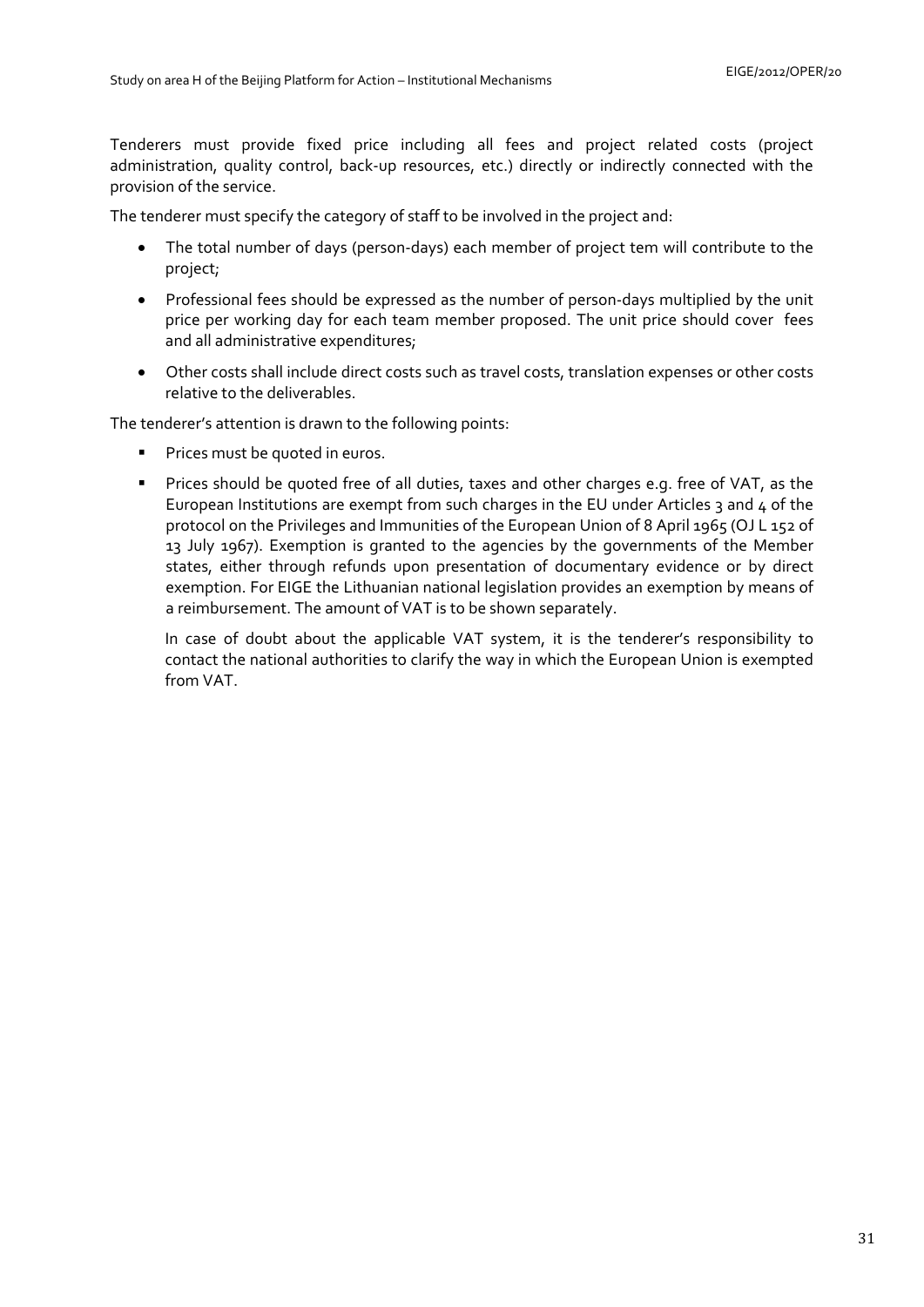Tenderers must provide fixed price including all fees and project related costs (project administration, quality control, back-up resources, etc.) directly or indirectly connected with the provision of the service.

The tenderer must specify the category of staff to be involved in the project and:

- The total number of days (person-days) each member of project tem will contribute to the project;
- Professional fees should be expressed as the number of person-days multiplied by the unit price per working day for each team member proposed. The unit price should cover fees and all administrative expenditures;
- Other costs shall include direct costs such as travel costs, translation expenses or other costs relative to the deliverables.

The tenderer's attention is drawn to the following points:

- **Prices must be quoted in euros.**
- **Prices should be quoted free of all duties, taxes and other charges e.g. free of VAT, as the** European Institutions are exempt from such charges in the EU under Articles 3 and  $\mu$  of the protocol on the Privileges and Immunities of the European Union of 8 April 1965 (OJ L 152 of 13 July 1967). Exemption is granted to the agencies by the governments of the Member states, either through refunds upon presentation of documentary evidence or by direct exemption. For EIGE the Lithuanian national legislation provides an exemption by means of a reimbursement. The amount of VAT is to be shown separately.

In case of doubt about the applicable VAT system, it is the tenderer's responsibility to contact the national authorities to clarify the way in which the European Union is exempted from VAT.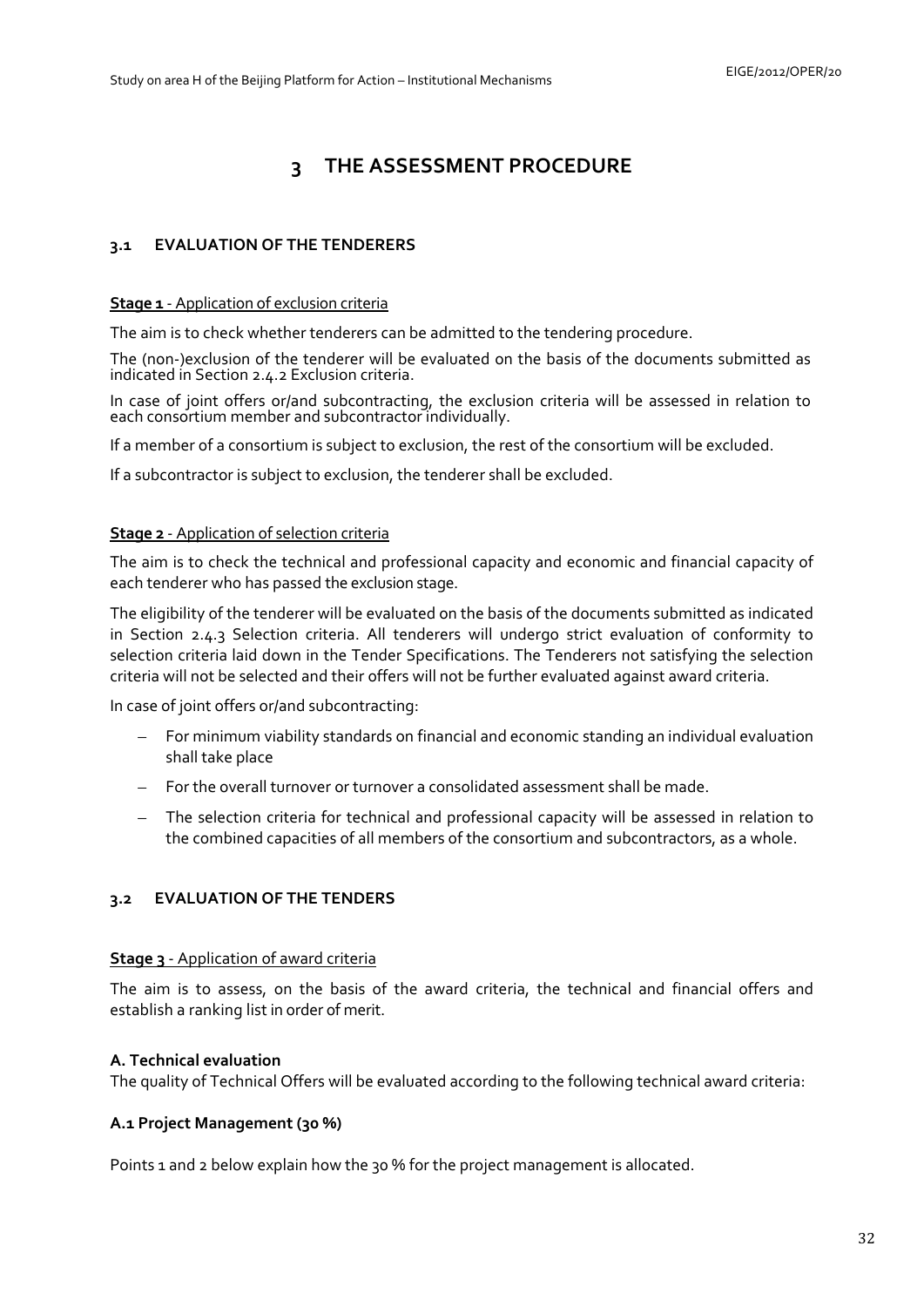# **3 THE ASSESSMENT PROCEDURE**

# <span id="page-31-1"></span><span id="page-31-0"></span>**3.1 EVALUATION OF THE TENDERERS**

#### **Stage 1** - Application of exclusion criteria

The aim is to check whether tenderers can be admitted to the tendering procedure.

The (non-)exclusion of the tenderer will be evaluated on the basis of the documents submitted as indicated in Section [2.4.2 E](#page-25-0)xclusion criteria.

In case of joint offers or/and subcontracting, the exclusion criteria will be assessed in relation to each consortium member and subcontractor individually.

If a member of a consortium is subject to exclusion, the rest of the consortium will be excluded.

If a subcontractor is subject to exclusion, the tenderer shall be excluded.

### **Stage 2** - Application of selection criteria

The aim is to check the technical and professional capacity and economic and financial capacity of each tenderer who has passed the exclusion stage.

The eligibility of the tenderer will be evaluated on the basis of the documents submitted as indicated in Section [2.4.3](#page-27-0) Selection criteria. All tenderers will undergo strict evaluation of conformity to selection criteria laid down in the Tender Specifications. The Tenderers not satisfying the selection criteria will not be selected and their offers will not be further evaluated against award criteria.

In case of joint offers or/and subcontracting:

- For minimum viability standards on financial and economic standing an individual evaluation shall take place
- For the overall turnover or turnover a consolidated assessment shall be made.
- The selection criteria for technical and professional capacity will be assessed in relation to the combined capacities of all members of the consortium and subcontractors, as a whole.

### <span id="page-31-2"></span>**3.2 EVALUATION OF THE TENDERS**

### **Stage 3** - Application of award criteria

The aim is to assess, on the basis of the award criteria, the technical and financial offers and establish a ranking list in order of merit.

### **A. Technical evaluation**

The quality of Technical Offers will be evaluated according to the following technical award criteria:

### **A.1 Project Management (30 %)**

Points 1 and 2 below explain how the 30 % for the project management is allocated.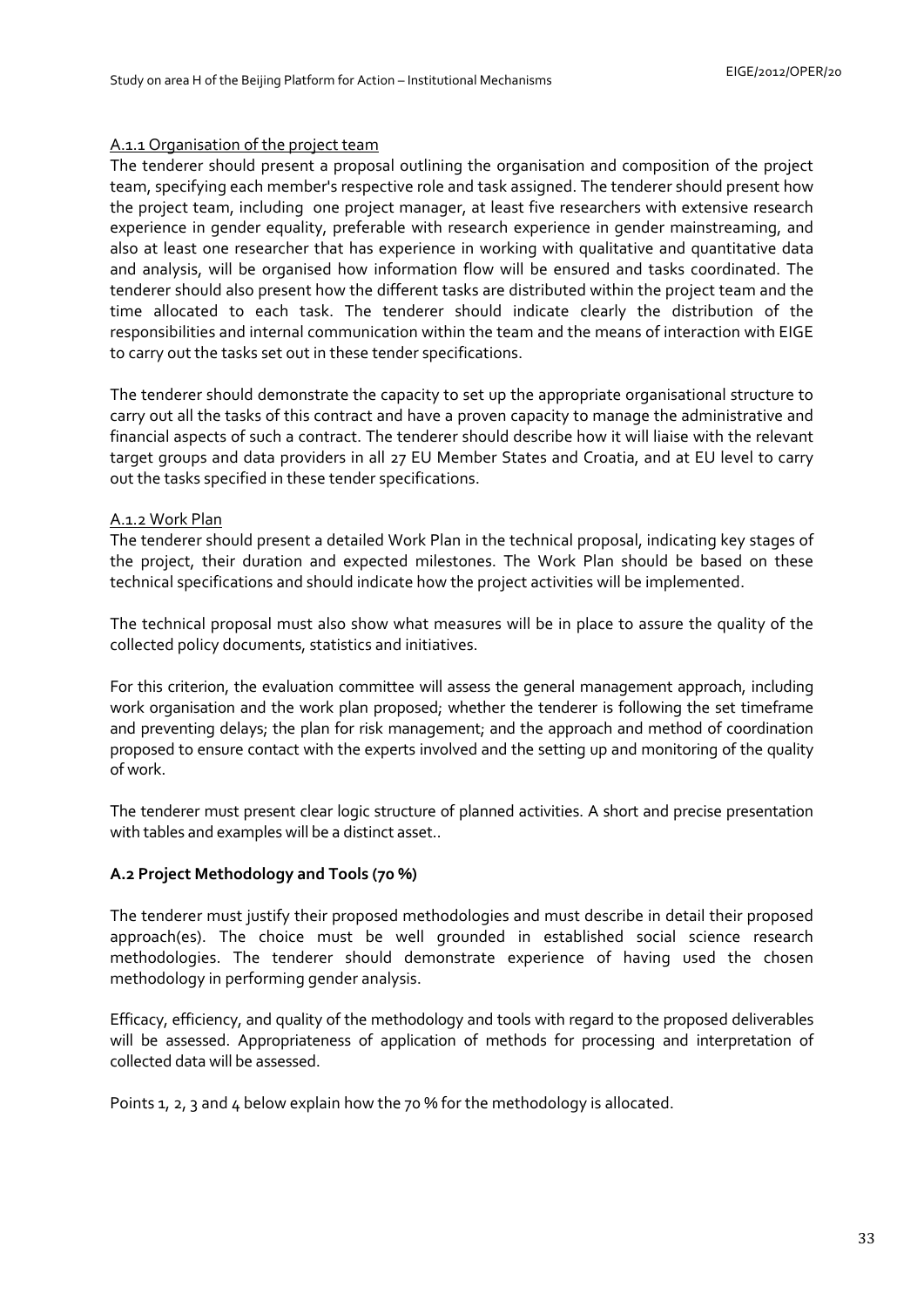### A.1.1 Organisation of the project team

The tenderer should present a proposal outlining the organisation and composition of the project team, specifying each member's respective role and task assigned. The tenderer should present how the project team, including one project manager, at least five researchers with extensive research experience in gender equality, preferable with research experience in gender mainstreaming, and also at least one researcher that has experience in working with qualitative and quantitative data and analysis, will be organised how information flow will be ensured and tasks coordinated. The tenderer should also present how the different tasks are distributed within the project team and the time allocated to each task. The tenderer should indicate clearly the distribution of the responsibilities and internal communication within the team and the means of interaction with EIGE to carry out the tasks set out in these tender specifications.

The tenderer should demonstrate the capacity to set up the appropriate organisational structure to carry out all the tasks of this contract and have a proven capacity to manage the administrative and financial aspects of such a contract. The tenderer should describe how it will liaise with the relevant target groups and data providers in all 27 EU Member States and Croatia, and at EU level to carry out the tasks specified in these tender specifications.

### A.1.2 Work Plan

The tenderer should present a detailed Work Plan in the technical proposal, indicating key stages of the project, their duration and expected milestones. The Work Plan should be based on these technical specifications and should indicate how the project activities will be implemented.

The technical proposal must also show what measures will be in place to assure the quality of the collected policy documents, statistics and initiatives.

For this criterion, the evaluation committee will assess the general management approach, including work organisation and the work plan proposed; whether the tenderer is following the set timeframe and preventing delays; the plan for risk management; and the approach and method of coordination proposed to ensure contact with the experts involved and the setting up and monitoring of the quality of work.

The tenderer must present clear logic structure of planned activities. A short and precise presentation with tables and examples will be a distinct asset..

### **A.2 Project Methodology and Tools (70 %)**

The tenderer must justify their proposed methodologies and must describe in detail their proposed approach(es). The choice must be well grounded in established social science research methodologies. The tenderer should demonstrate experience of having used the chosen methodology in performing gender analysis.

Efficacy, efficiency, and quality of the methodology and tools with regard to the proposed deliverables will be assessed. Appropriateness of application of methods for processing and interpretation of collected data will be assessed.

Points 1, 2, 3 and 4 below explain how the 70 % for the methodology is allocated.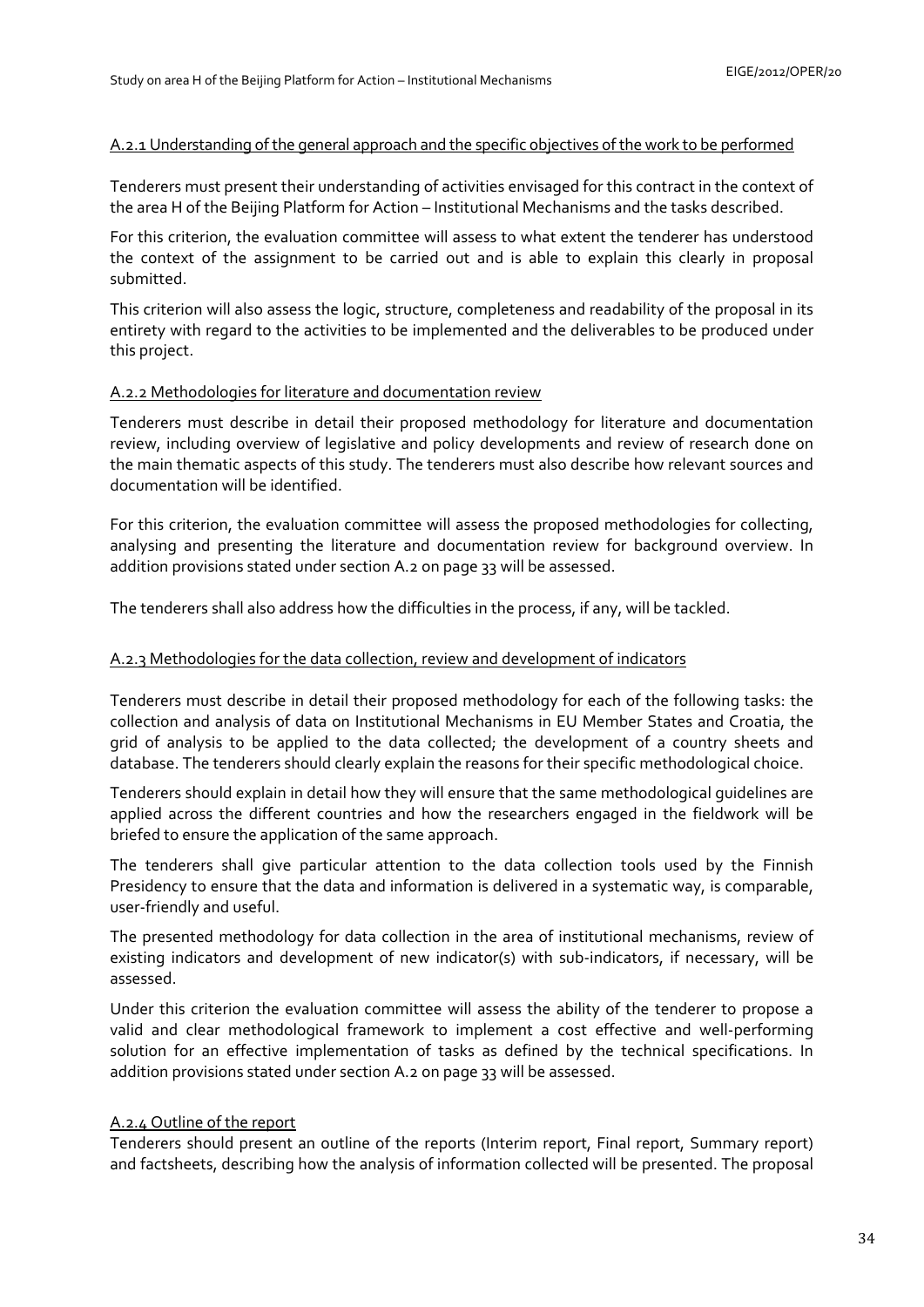# A.2.1 Understanding of the general approach and the specific objectives of the work to be performed

Tenderers must present their understanding of activities envisaged for this contract in the context of the area H of the Beijing Platform for Action – Institutional Mechanisms and the tasks described.

For this criterion, the evaluation committee will assess to what extent the tenderer has understood the context of the assignment to be carried out and is able to explain this clearly in proposal submitted.

This criterion will also assess the logic, structure, completeness and readability of the proposal in its entirety with regard to the activities to be implemented and the deliverables to be produced under this project.

# A.2.2 Methodologies for literature and documentation review

Tenderers must describe in detail their proposed methodology for literature and documentation review, including overview of legislative and policy developments and review of research done on the main thematic aspects of this study. The tenderers must also describe how relevant sources and documentation will be identified.

For this criterion, the evaluation committee will assess the proposed methodologies for collecting, analysing and presenting the literature and documentation review for background overview. In addition provisions stated under section A.2 on page 33 will be assessed.

The tenderers shall also address how the difficulties in the process, if any, will be tackled.

## A.2.3 Methodologies for the data collection, review and development of indicators

Tenderers must describe in detail their proposed methodology for each of the following tasks: the collection and analysis of data on Institutional Mechanisms in EU Member States and Croatia, the grid of analysis to be applied to the data collected; the development of a country sheets and database. The tenderers should clearly explain the reasons for their specific methodological choice.

Tenderers should explain in detail how they will ensure that the same methodological guidelines are applied across the different countries and how the researchers engaged in the fieldwork will be briefed to ensure the application of the same approach.

The tenderers shall give particular attention to the data collection tools used by the Finnish Presidency to ensure that the data and information is delivered in a systematic way, is comparable, user-friendly and useful.

The presented methodology for data collection in the area of institutional mechanisms, review of existing indicators and development of new indicator(s) with sub-indicators, if necessary, will be assessed.

Under this criterion the evaluation committee will assess the ability of the tenderer to propose a valid and clear methodological framework to implement a cost effective and well-performing solution for an effective implementation of tasks as defined by the technical specifications. In addition provisions stated under section A.2 on page 33 will be assessed.

# A.2.4 Outline of the report

Tenderers should present an outline of the reports (Interim report, Final report, Summary report) and factsheets, describing how the analysis of information collected will be presented. The proposal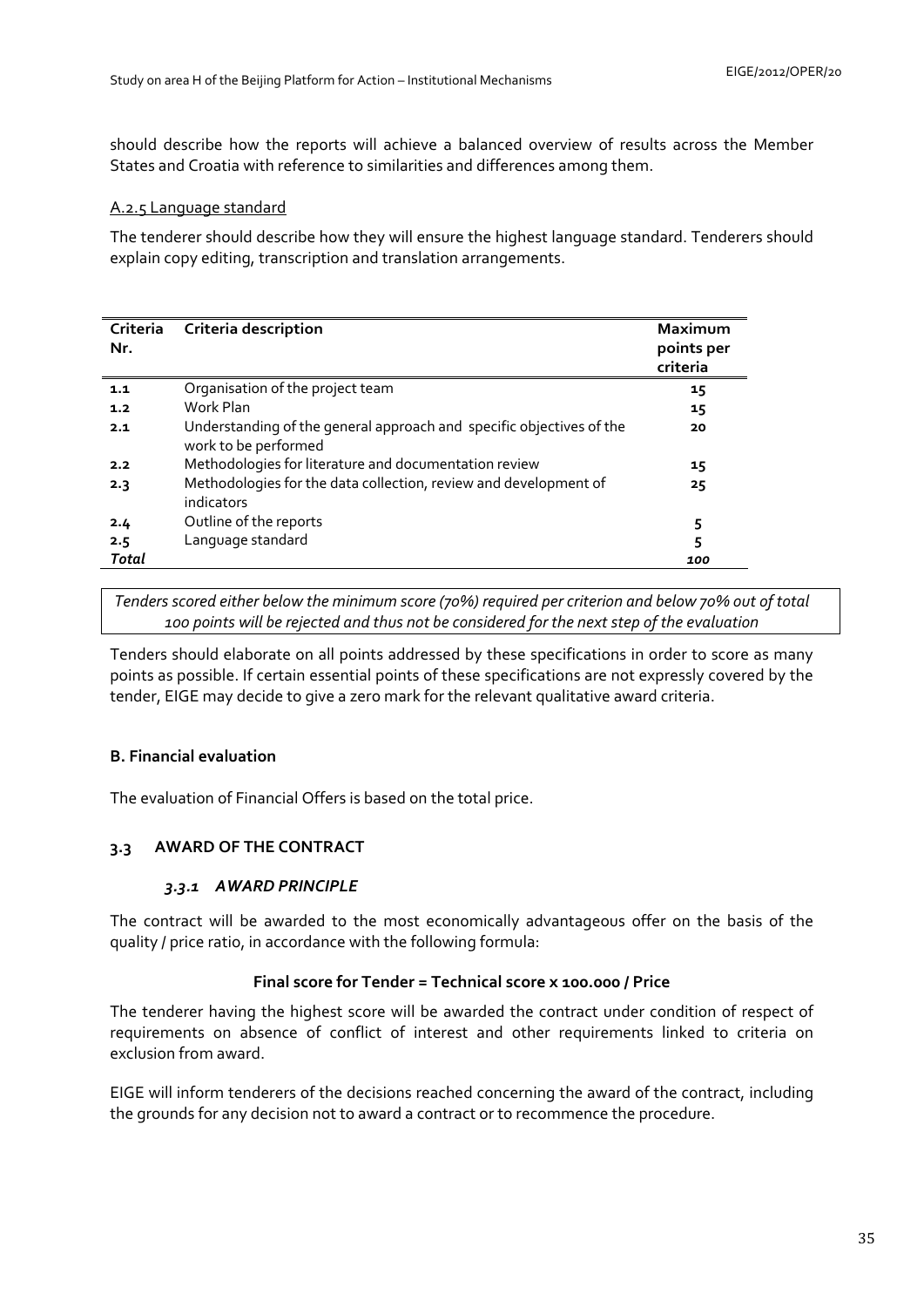should describe how the reports will achieve a balanced overview of results across the Member States and Croatia with reference to similarities and differences among them.

### A.2.5 Language standard

The tenderer should describe how they will ensure the highest language standard. Tenderers should explain copy editing, transcription and translation arrangements.

| Criteria<br>Nr. | Criteria description                                                                         | Maximum<br>points per<br>criteria |
|-----------------|----------------------------------------------------------------------------------------------|-----------------------------------|
| 1.1             | Organisation of the project team                                                             | 15                                |
| 1.2             | Work Plan                                                                                    | 15                                |
| 2.1             | Understanding of the general approach and specific objectives of the<br>work to be performed | 20                                |
| 2.2             | Methodologies for literature and documentation review                                        | 15                                |
| 2.3             | Methodologies for the data collection, review and development of<br>indicators               | 25                                |
| 2.4             | Outline of the reports                                                                       | 5                                 |
| 2.5             | Language standard                                                                            | 5                                 |
| Total           |                                                                                              | 100                               |

*Tenders scored either below the minimum score (70%) required per criterion and below 70% out of total 100 points will be rejected and thus not be considered for the next step of the evaluation* 

Tenders should elaborate on all points addressed by these specifications in order to score as many points as possible. If certain essential points of these specifications are not expressly covered by the tender, EIGE may decide to give a zero mark for the relevant qualitative award criteria.

# **B. Financial evaluation**

The evaluation of Financial Offers is based on the total price.

### <span id="page-34-1"></span><span id="page-34-0"></span>**3.3 AWARD OF THE CONTRACT**

### *3.3.1 AWARD PRINCIPLE*

The contract will be awarded to the most economically advantageous offer on the basis of the quality / price ratio, in accordance with the following formula:

## **Final score for Tender = Technical score x 100.000 / Price**

The tenderer having the highest score will be awarded the contract under condition of respect of requirements on absence of conflict of interest and other requirements linked to criteria on exclusion from award.

EIGE will inform tenderers of the decisions reached concerning the award of the contract, including the grounds for any decision not to award a contract or to recommence the procedure.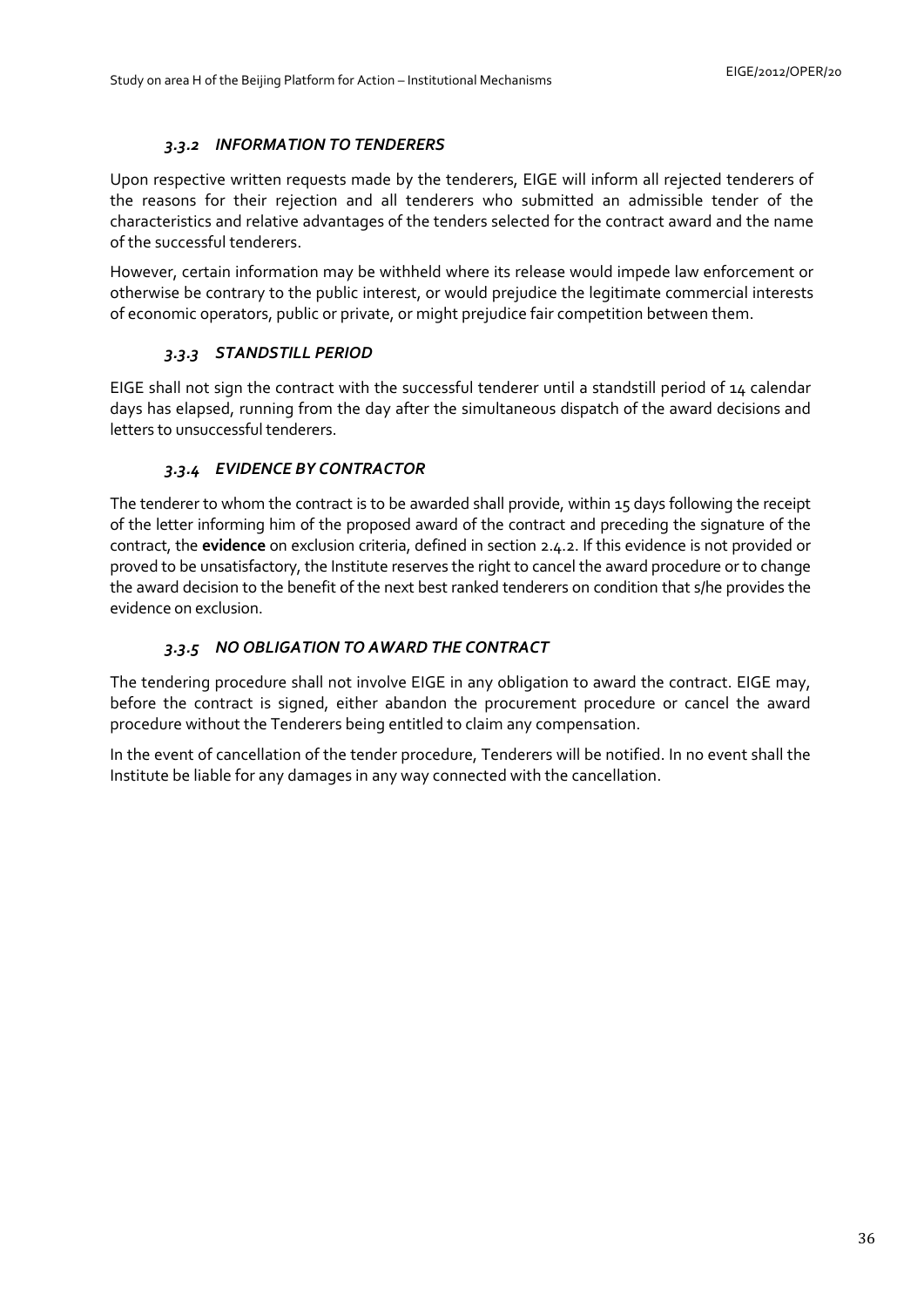# *3.3.2 INFORMATION TO TENDERERS*

<span id="page-35-0"></span>Upon respective written requests made by the tenderers, EIGE will inform all rejected tenderers of the reasons for their rejection and all tenderers who submitted an admissible tender of the characteristics and relative advantages of the tenders selected for the contract award and the name of the successful tenderers.

However, certain information may be withheld where its release would impede law enforcement or otherwise be contrary to the public interest, or would prejudice the legitimate commercial interests of economic operators, public or private, or might prejudice fair competition between them.

# *3.3.3 STANDSTILL PERIOD*

<span id="page-35-1"></span>EIGE shall not sign the contract with the successful tenderer until a standstill period of 14 calendar days has elapsed, running from the day after the simultaneous dispatch of the award decisions and letters to unsuccessful tenderers.

# *3.3.4 EVIDENCE BY CONTRACTOR*

<span id="page-35-2"></span>The tenderer to whom the contract is to be awarded shall provide, within 15 days following the receipt of the letter informing him of the proposed award of the contract and preceding the signature of the contract, the **evidence** on exclusion criteria, defined in section 2.4.2. If this evidence is not provided or proved to be unsatisfactory, the Institute reserves the right to cancel the award procedure or to change the award decision to the benefit of the next best ranked tenderers on condition that s/he provides the evidence on exclusion.

# *3.3.5 NO OBLIGATION TO AWARD THE CONTRACT*

<span id="page-35-3"></span>The tendering procedure shall not involve EIGE in any obligation to award the contract. EIGE may, before the contract is signed, either abandon the procurement procedure or cancel the award procedure without the Tenderers being entitled to claim any compensation.

In the event of cancellation of the tender procedure, Tenderers will be notified. In no event shall the Institute be liable for any damages in any way connected with the cancellation.